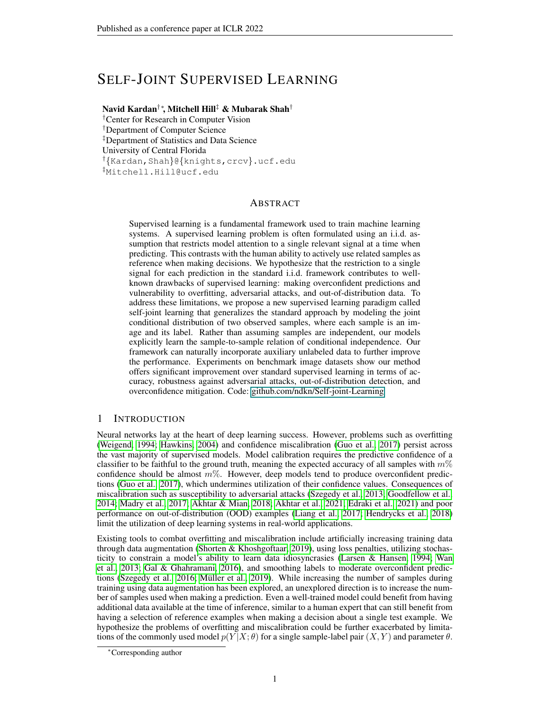# SELF-JOINT SUPERVISED LEARNING

# Navid Kardan†∗, Mitchell Hill‡ & Mubarak Shah†

†Center for Research in Computer Vision †Department of Computer Science ‡Department of Statistics and Data Science University of Central Florida †{Kardan,Shah}@{knights,crcv}.ucf.edu ‡Mitchell.Hill@ucf.edu

## ABSTRACT

Supervised learning is a fundamental framework used to train machine learning systems. A supervised learning problem is often formulated using an i.i.d. assumption that restricts model attention to a single relevant signal at a time when predicting. This contrasts with the human ability to actively use related samples as reference when making decisions. We hypothesize that the restriction to a single signal for each prediction in the standard i.i.d. framework contributes to wellknown drawbacks of supervised learning: making overconfident predictions and vulnerability to overfitting, adversarial attacks, and out-of-distribution data. To address these limitations, we propose a new supervised learning paradigm called self-joint learning that generalizes the standard approach by modeling the joint conditional distribution of two observed samples, where each sample is an image and its label. Rather than assuming samples are independent, our models explicitly learn the sample-to-sample relation of conditional independence. Our framework can naturally incorporate auxiliary unlabeled data to further improve the performance. Experiments on benchmark image datasets show our method offers significant improvement over standard supervised learning in terms of accuracy, robustness against adversarial attacks, out-of-distribution detection, and overconfidence mitigation. Code: github.com/ndkn/Self-joint-Learning

# 1 INTRODUCTION

Neural networks lay at the heart of deep learning success. However, problems such as overfitting [\(Weigend, 1994;](#page-12-0) [Hawkins, 2004\)](#page-10-0) and confidence miscalibration [\(Guo et al., 2017\)](#page-10-1) persist across the vast majority of supervised models. Model calibration requires the predictive confidence of a classifier to be faithful to the ground truth, meaning the expected accuracy of all samples with  $m\%$ confidence should be almost  $m\%$ . However, deep models tend to produce overconfident predictions [\(Guo et al., 2017\)](#page-10-1), which undermines utilization of their confidence values. Consequences of miscalibration such as susceptibility to adversarial attacks [\(Szegedy et al., 2013;](#page-11-0) [Goodfellow et al.,](#page-9-0) [2014;](#page-9-0) [Madry et al., 2017;](#page-11-1) [Akhtar & Mian, 2018;](#page-9-1) [Akhtar et al., 2021;](#page-9-2) [Edraki et al., 2021\)](#page-9-3) and poor performance on out-of-distribution (OOD) examples [\(Liang et al., 2017;](#page-11-2) [Hendrycks et al., 2018\)](#page-10-2) limit the utilization of deep learning systems in real-world applications.

Existing tools to combat overfitting and miscalibration include artificially increasing training data through data augmentation [\(Shorten & Khoshgoftaar, 2019\)](#page-11-3), using loss penalties, utilizing stochasticity to constrain a model's ability to learn data idiosyncrasies [\(Larsen & Hansen, 1994;](#page-10-3) [Wan](#page-11-4) [et al., 2013;](#page-11-4) [Gal & Ghahramani, 2016\)](#page-9-4), and smoothing labels to moderate overconfident predic-tions [\(Szegedy et al., 2016;](#page-11-5) Müller et al., 2019). While increasing the number of samples during training using data augmentation has been explored, an unexplored direction is to increase the number of samples used when making a prediction. Even a well-trained model could benefit from having additional data available at the time of inference, similar to a human expert that can still benefit from having a selection of reference examples when making a decision about a single test example. We hypothesize the problems of overfitting and miscalibration could be further exacerbated by limitations of the commonly used model  $p(Y|X; \theta)$  for a single sample-label pair  $(X, Y)$  and parameter  $\theta$ .

<sup>∗</sup>Corresponding author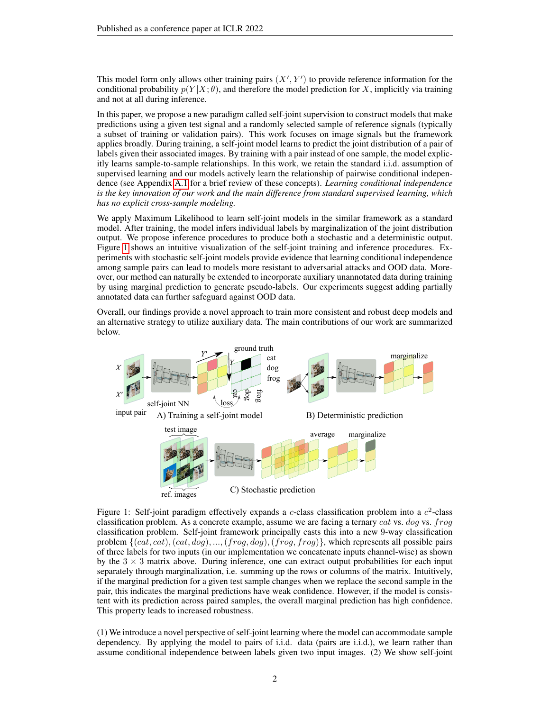This model form only allows other training pairs  $(X', Y')$  to provide reference information for the conditional probability  $p(Y|X; \theta)$ , and therefore the model prediction for X, implicitly via training and not at all during inference.

In this paper, we propose a new paradigm called self-joint supervision to construct models that make predictions using a given test signal and a randomly selected sample of reference signals (typically a subset of training or validation pairs). This work focuses on image signals but the framework applies broadly. During training, a self-joint model learns to predict the joint distribution of a pair of labels given their associated images. By training with a pair instead of one sample, the model explicitly learns sample-to-sample relationships. In this work, we retain the standard i.i.d. assumption of supervised learning and our models actively learn the relationship of pairwise conditional independence (see Appendix [A.1](#page-12-1) for a brief review of these concepts). *Learning conditional independence is the key innovation of our work and the main difference from standard supervised learning, which has no explicit cross-sample modeling.*

We apply Maximum Likelihood to learn self-joint models in the similar framework as a standard model. After training, the model infers individual labels by marginalization of the joint distribution output. We propose inference procedures to produce both a stochastic and a deterministic output. Figure [1](#page-1-0) shows an intuitive visualization of the self-joint training and inference procedures. Experiments with stochastic self-joint models provide evidence that learning conditional independence among sample pairs can lead to models more resistant to adversarial attacks and OOD data. Moreover, our method can naturally be extended to incorporate auxiliary unannotated data during training by using marginal prediction to generate pseudo-labels. Our experiments suggest adding partially annotated data can further safeguard against OOD data.

Overall, our findings provide a novel approach to train more consistent and robust deep models and an alternative strategy to utilize auxiliary data. The main contributions of our work are summarized below.

<span id="page-1-0"></span>

Figure 1: Self-joint paradigm effectively expands a c-class classification problem into a  $c^2$ -class classification problem. As a concrete example, assume we are facing a ternary cat vs. dog vs.  $frog$ classification problem. Self-joint framework principally casts this into a new 9-way classification problem  $\{(cat, cat), (cat, dog), ..., (frog, dog), (frog, frog)\}\$ , which represents all possible pairs of three labels for two inputs (in our implementation we concatenate inputs channel-wise) as shown by the  $3 \times 3$  matrix above. During inference, one can extract output probabilities for each input separately through marginalization, i.e. summing up the rows or columns of the matrix. Intuitively, if the marginal prediction for a given test sample changes when we replace the second sample in the pair, this indicates the marginal predictions have weak confidence. However, if the model is consistent with its prediction across paired samples, the overall marginal prediction has high confidence. This property leads to increased robustness.

(1) We introduce a novel perspective of self-joint learning where the model can accommodate sample dependency. By applying the model to pairs of i.i.d. data (pairs are i.i.d.), we learn rather than assume conditional independence between labels given two input images. (2) We show self-joint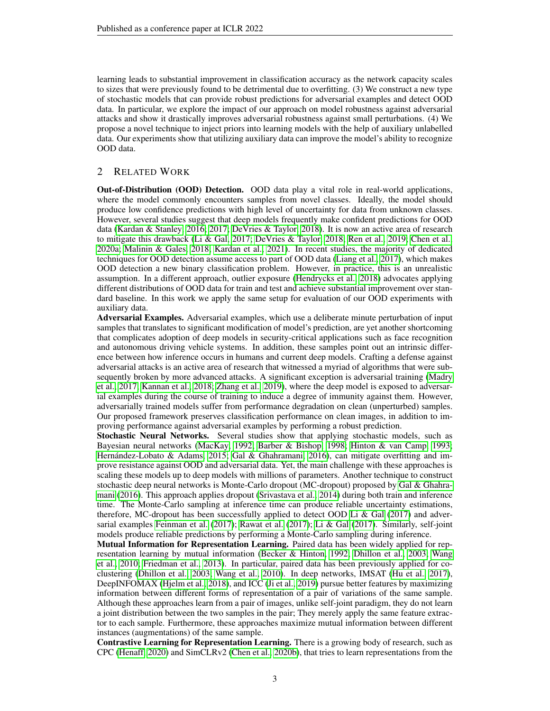learning leads to substantial improvement in classification accuracy as the network capacity scales to sizes that were previously found to be detrimental due to overfitting. (3) We construct a new type of stochastic models that can provide robust predictions for adversarial examples and detect OOD data. In particular, we explore the impact of our approach on model robustness against adversarial attacks and show it drastically improves adversarial robustness against small perturbations. (4) We propose a novel technique to inject priors into learning models with the help of auxiliary unlabelled data. Our experiments show that utilizing auxiliary data can improve the model's ability to recognize OOD data.

# 2 RELATED WORK

Out-of-Distribution (OOD) Detection. OOD data play a vital role in real-world applications, where the model commonly encounters samples from novel classes. Ideally, the model should produce low confidence predictions with high level of uncertainty for data from unknown classes. However, several studies suggest that deep models frequently make confident predictions for OOD data [\(Kardan & Stanley, 2016;](#page-10-4) [2017;](#page-10-5) [DeVries & Taylor, 2018\)](#page-9-5). It is now an active area of research to mitigate this drawback [\(Li & Gal, 2017;](#page-11-7) [DeVries & Taylor, 2018;](#page-9-5) [Ren et al., 2019;](#page-11-8) [Chen et al.,](#page-9-6) [2020a;](#page-9-6) [Malinin & Gales, 2018;](#page-11-9) [Kardan et al., 2021\)](#page-10-6). In recent studies, the majority of dedicated techniques for OOD detection assume access to part of OOD data [\(Liang et al., 2017\)](#page-11-2), which makes OOD detection a new binary classification problem. However, in practice, this is an unrealistic assumption. In a different approach, outlier exposure [\(Hendrycks et al., 2018\)](#page-10-2) advocates applying different distributions of OOD data for train and test and achieve substantial improvement over standard baseline. In this work we apply the same setup for evaluation of our OOD experiments with auxiliary data.

Adversarial Examples. Adversarial examples, which use a deliberate minute perturbation of input samples that translates to significant modification of model's prediction, are yet another shortcoming that complicates adoption of deep models in security-critical applications such as face recognition and autonomous driving vehicle systems. In addition, these samples point out an intrinsic difference between how inference occurs in humans and current deep models. Crafting a defense against adversarial attacks is an active area of research that witnessed a myriad of algorithms that were subsequently broken by more advanced attacks. A significant exception is adversarial training [\(Madry](#page-11-1) [et al., 2017;](#page-11-1) [Kannan et al., 2018;](#page-10-7) [Zhang et al., 2019\)](#page-12-2), where the deep model is exposed to adversarial examples during the course of training to induce a degree of immunity against them. However, adversarially trained models suffer from performance degradation on clean (unperturbed) samples. Our proposed framework preserves classification performance on clean images, in addition to improving performance against adversarial examples by performing a robust prediction.

Stochastic Neural Networks. Several studies show that applying stochastic models, such as Bayesian neural networks [\(MacKay, 1992;](#page-11-10) [Barber & Bishop, 1998;](#page-9-7) [Hinton & van Camp, 1993;](#page-10-8) Hernández-Lobato & Adams, 2015; [Gal & Ghahramani, 2016\)](#page-9-4), can mitigate overfitting and improve resistance against OOD and adversarial data. Yet, the main challenge with these approaches is scaling these models up to deep models with millions of parameters. Another technique to construct stochastic deep neural networks is Monte-Carlo dropout (MC-dropout) proposed by [Gal & Ghahra](#page-9-4)[mani](#page-9-4) [\(2016\)](#page-9-4). This approach applies dropout [\(Srivastava et al., 2014\)](#page-11-11) during both train and inference time. The Monte-Carlo sampling at inference time can produce reliable uncertainty estimations, therefore, MC-dropout has been successfully applied to detect OOD Li  $\&$  Gal [\(2017\)](#page-11-7) and adver-sarial examples [Feinman et al.](#page-9-8) [\(2017\)](#page-11-7); [Rawat et al.](#page-11-12) (2017); [Li & Gal](#page-11-7) (2017). Similarly, self-joint models produce reliable predictions by performing a Monte-Carlo sampling during inference.

Mutual Information for Representation Learning. Paired data has been widely applied for representation learning by mutual information [\(Becker & Hinton, 1992;](#page-9-9) [Dhillon et al., 2003;](#page-9-10) [Wang](#page-12-3) [et al., 2010;](#page-12-3) [Friedman et al., 2013\)](#page-9-11). In particular, paired data has been previously applied for coclustering [\(Dhillon et al., 2003;](#page-9-10) [Wang et al., 2010\)](#page-12-3). In deep networks, IMSAT [\(Hu et al., 2017\)](#page-10-10), DeepINFOMAX [\(Hjelm et al., 2018\)](#page-10-11), and ICC [\(Ji et al., 2019\)](#page-10-12) pursue better features by maximizing information between different forms of representation of a pair of variations of the same sample. Although these approaches learn from a pair of images, unlike self-joint paradigm, they do not learn a joint distribution between the two samples in the pair; They merely apply the same feature extractor to each sample. Furthermore, these approaches maximize mutual information between different instances (augmentations) of the same sample.

Contrastive Learning for Representation Learning. There is a growing body of research, such as CPC [\(Henaff, 2020\)](#page-10-13) and SimCLRv2 [\(Chen et al., 2020b\)](#page-9-12), that tries to learn representations from the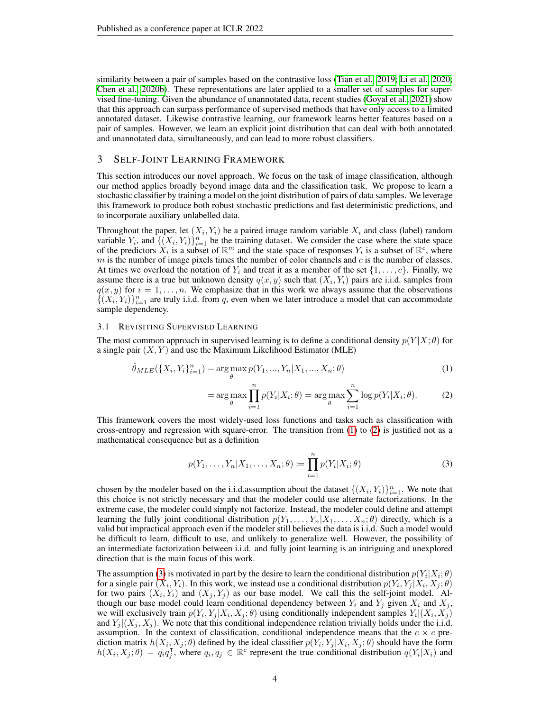similarity between a pair of samples based on the contrastive loss [\(Tian et al., 2019;](#page-11-13) [Li et al., 2020;](#page-11-14) [Chen et al., 2020b\)](#page-9-12). These representations are later applied to a smaller set of samples for supervised fine-tuning. Given the abundance of unannotated data, recent studies [\(Goyal et al., 2021\)](#page-10-14) show that this approach can surpass performance of supervised methods that have only access to a limited annotated dataset. Likewise contrastive learning, our framework learns better features based on a pair of samples. However, we learn an explicit joint distribution that can deal with both annotated and unannotated data, simultaneously, and can lead to more robust classifiers.

# 3 SELF-JOINT LEARNING FRAMEWORK

This section introduces our novel approach. We focus on the task of image classification, although our method applies broadly beyond image data and the classification task. We propose to learn a stochastic classifier by training a model on the joint distribution of pairs of data samples. We leverage this framework to produce both robust stochastic predictions and fast deterministic predictions, and to incorporate auxiliary unlabelled data.

Throughout the paper, let  $(X_i, Y_i)$  be a paired image random variable  $X_i$  and class (label) random variable  $Y_i$ , and  $\{ (X_i, Y_i) \}_{i=1}^n$  be the training dataset. We consider the case where the state space of the predictors  $X_i$  is a subset of  $\mathbb{R}^m$  and the state space of responses  $Y_i$  is a subset of  $\mathbb{R}^c$ , where  $m$  is the number of image pixels times the number of color channels and  $c$  is the number of classes. At times we overload the notation of  $Y_i$  and treat it as a member of the set  $\{1, \ldots, c\}$ . Finally, we assume there is a true but unknown density  $q(x, y)$  such that  $(X_i, Y_i)$  pairs are i.i.d. samples from  $q(x, y)$  for  $i = 1, \ldots, n$ . We emphasize that in this work we always assume that the observations  $\{(\hat{X}_i, Y_i)\}_{i=1}^n$  are truly i.i.d. from q, even when we later introduce a model that can accommodate sample dependency.

### 3.1 REVISITING SUPERVISED LEARNING

The most common approach in supervised learning is to define a conditional density  $p(Y|X; \theta)$  for a single pair  $(X, Y)$  and use the Maximum Likelihood Estimator (MLE)

$$
\hat{\theta}_{MLE}(\{X_i, Y_i\}_{i=1}^n) = \arg\max_{\theta} p(Y_1, ..., Y_n | X_1, ..., X_n; \theta)
$$
\n(1)

<span id="page-3-1"></span><span id="page-3-0"></span>
$$
= \arg \max_{\theta} \prod_{i=1}^{n} p(Y_i | X_i; \theta) = \arg \max_{\theta} \sum_{i=1}^{n} \log p(Y_i | X_i; \theta). \tag{2}
$$

This framework covers the most widely-used loss functions and tasks such as classification with cross-entropy and regression with square-error. The transition from [\(1\)](#page-3-0) to [\(2\)](#page-3-1) is justified not as a mathematical consequence but as a definition

<span id="page-3-2"></span>
$$
p(Y_1, \ldots, Y_n | X_1, \ldots, X_n; \theta) := \prod_{i=1}^n p(Y_i | X_i; \theta)
$$
\n(3)

chosen by the modeler based on the i.i.d. assumption about the dataset  $\{(X_i, Y_i)\}_{i=1}^n$ . We note that this choice is not strictly necessary and that the modeler could use alternate factorizations. In the extreme case, the modeler could simply not factorize. Instead, the modeler could define and attempt learning the fully joint conditional distribution  $p(Y_1, \ldots, Y_n | X_1, \ldots, X_n; \theta)$  directly, which is a valid but impractical approach even if the modeler still believes the data is i.i.d. Such a model would be difficult to learn, difficult to use, and unlikely to generalize well. However, the possibility of an intermediate factorization between i.i.d. and fully joint learning is an intriguing and unexplored direction that is the main focus of this work.

The assumption [\(3\)](#page-3-2) is motivated in part by the desire to learn the conditional distribution  $p(Y_i|X_i; \theta)$ for a single pair  $(X_i, Y_i)$ . In this work, we instead use a conditional distribution  $p(Y_i, Y_j | X_i, X_j; \theta)$ for two pairs  $(X_i, Y_i)$  and  $(X_j, Y_j)$  as our base model. We call this the self-joint model. Although our base model could learn conditional dependency between  $Y_i$  and  $Y_j$  given  $X_i$  and  $X_j$ , we will exclusively train  $p(Y_i, Y_j | X_i, X_j; \theta)$  using conditionally independent samples  $Y_i | (X_i, X_j)$ and  $Y_i|(X_i, X_j)$ . We note that this conditional independence relation trivially holds under the i.i.d. assumption. In the context of classification, conditional independence means that the  $c \times c$  prediction matrix  $h(X_i, X_j; \theta)$  defined by the ideal classifier  $p(Y_i, Y_j | X_i, X_j; \theta)$  should have the form  $h(X_i, X_j; \theta) = q_i q_i^{\mathsf{T}}$  $\overline{f}_j$ , where  $q_i, q_j \in \mathbb{R}^c$  represent the true conditional distribution  $q(Y_i|X_i)$  and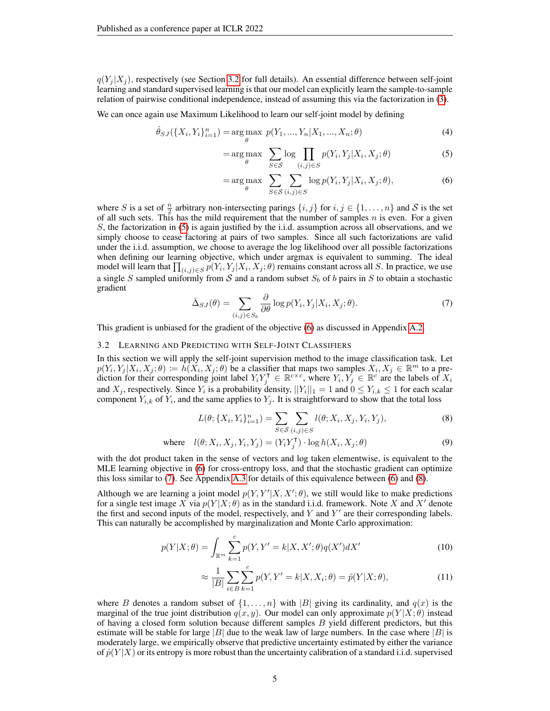$q(Y_i | X_i)$ , respectively (see Section [3.2](#page-4-0) for full details). An essential difference between self-joint learning and standard supervised learning is that our model can explicitly learn the sample-to-sample relation of pairwise conditional independence, instead of assuming this via the factorization in [\(3\)](#page-3-2).

We can once again use Maximum Likelihood to learn our self-joint model by defining

$$
\hat{\theta}_{SJ}(\{X_i, Y_i\}_{i=1}^n) = \underset{\theta}{\text{arg max }} p(Y_1, ..., Y_n | X_1, ..., X_n; \theta)
$$
\n(4)

<span id="page-4-1"></span>
$$
= \arg \max_{\theta} \sum_{S \in \mathcal{S}} \log \prod_{(i,j) \in S} p(Y_i, Y_j | X_i, X_j; \theta)
$$
\n(5)

<span id="page-4-2"></span>
$$
= \arg \max_{\theta} \sum_{S \in \mathcal{S}} \sum_{(i,j) \in S} \log p(Y_i, Y_j | X_i, X_j; \theta), \tag{6}
$$

where S is a set of  $\frac{n}{2}$  arbitrary non-intersecting parings  $\{i, j\}$  for  $i, j \in \{1, ..., n\}$  and S is the set of all such sets. This has the mild requirement that the number of samples  $n$  is even. For a given S, the factorization in [\(5\)](#page-4-1) is again justified by the i.i.d. assumption across all observations, and we simply choose to cease factoring at pairs of two samples. Since all such factorizations are valid under the i.i.d. assumption, we choose to average the log likelihood over all possible factorizations when defining our learning objective, which under argmax is equivalent to summing. The ideal model will learn that  $\prod_{(i,j)\in S} p(Y_i,Y_j|X_i,X_j;\theta)$  remains constant across all S. In practice, we use a single S sampled uniformly from S and a random subset  $S_b$  of b pairs in S to obtain a stochastic gradient

<span id="page-4-3"></span>
$$
\hat{\Delta}_{SJ}(\theta) = \sum_{(i,j)\in S_b} \frac{\partial}{\partial \theta} \log p(Y_i, Y_j | X_i, X_j; \theta). \tag{7}
$$

This gradient is unbiased for the gradient of the objective [\(6\)](#page-4-2) as discussed in Appendix [A.2.](#page-12-4)

#### <span id="page-4-0"></span>3.2 LEARNING AND PREDICTING WITH SELF-JOINT CLASSIFIERS

In this section we will apply the self-joint supervision method to the image classification task. Let  $p(Y_i, Y_j | X_i, X_j; \theta) := h(X_i, X_j; \theta)$  be a classifier that maps two samples  $X_i, X_j \in \mathbb{R}^m$  to a prediction for their corresponding joint label  $Y_i Y_j^{\dagger} \in \mathbb{R}^{c \times c}$ , where  $Y_i, Y_j \in \mathbb{R}^c$  are the labels of  $X_i$ and  $X_j$ , respectively. Since  $Y_i$  is a probability density,  $||Y_i||_1 = 1$  and  $0 \le Y_{i,k} \le 1$  for each scalar component  $Y_{i,k}$  of  $Y_i$ , and the same applies to  $Y_j$ . It is straightforward to show that the total loss

<span id="page-4-4"></span>
$$
L(\theta; \{X_i, Y_i\}_{i=1}^n) = \sum_{S \in \mathcal{S}} \sum_{(i,j) \in S} l(\theta; X_i, X_j, Y_i, Y_j),
$$
\n(8)

where 
$$
l(\theta; X_i, X_j, Y_i, Y_j) = (Y_i Y_j^{\mathsf{T}}) \cdot \log h(X_i, X_j; \theta)
$$
 (9)

with the dot product taken in the sense of vectors and log taken elementwise, is equivalent to the MLE learning objective in [\(6\)](#page-4-2) for cross-entropy loss, and that the stochastic gradient can optimize this loss similar to [\(7\)](#page-4-3). See Appendix [A.3](#page-13-0) for details of this equivalence between [\(6\)](#page-4-2) and [\(8\)](#page-4-4).

Although we are learning a joint model  $p(Y, Y'|X, X'; \theta)$ , we still would like to make predictions for a single test image X via  $p(Y|X; \theta)$  as in the standard i.i.d. framework. Note X and X' denote the first and second inputs of the model, respectively, and  $Y$  and  $Y'$  are their corresponding labels. This can naturally be accomplished by marginalization and Monte Carlo approximation:

$$
p(Y|X; \theta) = \int_{\mathbb{R}^m} \sum_{k=1}^c p(Y, Y' = k | X, X'; \theta) q(X') dX'
$$
 (10)

<span id="page-4-6"></span><span id="page-4-5"></span>
$$
\approx \frac{1}{|B|} \sum_{i \in B} \sum_{k=1}^{c} p(Y, Y' = k | X, X_i; \theta) = \hat{p}(Y | X; \theta), \tag{11}
$$

where B denotes a random subset of  $\{1, \ldots, n\}$  with  $|B|$  giving its cardinality, and  $q(x)$  is the marginal of the true joint distribution  $q(x, y)$ . Our model can only approximate  $p(Y|X; \theta)$  instead of having a closed form solution because different samples  $B$  yield different predictors, but this estimate will be stable for large  $|B|$  due to the weak law of large numbers. In the case where  $|B|$  is moderately large, we empirically observe that predictive uncertainty estimated by either the variance of  $\hat{p}(Y|X)$  or its entropy is more robust than the uncertainty calibration of a standard i.i.d. supervised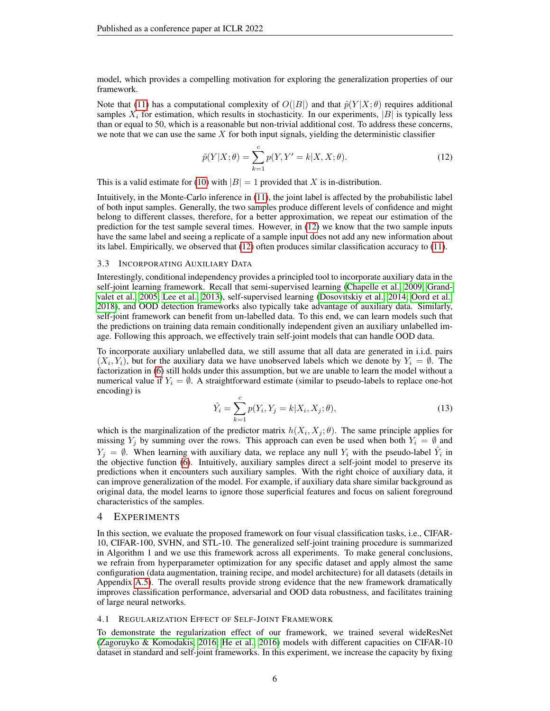model, which provides a compelling motivation for exploring the generalization properties of our framework.

Note that [\(11\)](#page-4-5) has a computational complexity of  $O(|B|)$  and that  $\hat{p}(Y|X;\theta)$  requires additional samples  $X_i$  for estimation, which results in stochasticity. In our experiments,  $|B|$  is typically less than or equal to 50, which is a reasonable but non-trivial additional cost. To address these concerns, we note that we can use the same  $X$  for both input signals, yielding the deterministic classifier

<span id="page-5-0"></span>
$$
\tilde{p}(Y|X; \theta) = \sum_{k=1}^{c} p(Y, Y' = k | X, X; \theta).
$$
\n(12)

This is a valid estimate for [\(10\)](#page-4-6) with  $|B| = 1$  provided that X is in-distribution.

Intuitively, in the Monte-Carlo inference in [\(11\)](#page-4-5), the joint label is affected by the probabilistic label of both input samples. Generally, the two samples produce different levels of confidence and might belong to different classes, therefore, for a better approximation, we repeat our estimation of the prediction for the test sample several times. However, in [\(12\)](#page-5-0) we know that the two sample inputs have the same label and seeing a replicate of a sample input does not add any new information about its label. Empirically, we observed that [\(12\)](#page-5-0) often produces similar classification accuracy to [\(11\)](#page-4-5).

#### <span id="page-5-2"></span>3.3 INCORPORATING AUXILIARY DATA

Interestingly, conditional independency provides a principled tool to incorporate auxiliary data in the self-joint learning framework. Recall that semi-supervised learning [\(Chapelle et al., 2009;](#page-9-13) [Grand](#page-10-15)[valet et al., 2005;](#page-10-15) [Lee et al., 2013\)](#page-11-15), self-supervised learning [\(Dosovitskiy et al., 2014;](#page-9-14) [Oord et al.,](#page-11-16) [2018\)](#page-11-16), and OOD detection frameworks also typically take advantage of auxiliary data. Similarly, self-joint framework can benefit from un-labelled data. To this end, we can learn models such that the predictions on training data remain conditionally independent given an auxiliary unlabelled image. Following this approach, we effectively train self-joint models that can handle OOD data.

To incorporate auxiliary unlabelled data, we still assume that all data are generated in i.i.d. pairs  $(X_i, Y_i)$ , but for the auxiliary data we have unobserved labels which we denote by  $Y_i = \emptyset$ . The factorization in [\(6\)](#page-4-2) still holds under this assumption, but we are unable to learn the model without a numerical value if  $Y_i = \emptyset$ . A straightforward estimate (similar to pseudo-labels to replace one-hot encoding) is

<span id="page-5-1"></span>
$$
\hat{Y}_i = \sum_{k=1}^{c} p(Y_i, Y_j = k | X_i, X_j; \theta),
$$
\n(13)

which is the marginalization of the predictor matrix  $h(X_i, X_j; \theta)$ . The same principle applies for missing  $Y_i$  by summing over the rows. This approach can even be used when both  $Y_i = \emptyset$  and  $Y_j = \emptyset$ . When learning with auxiliary data, we replace any null  $Y_i$  with the pseudo-label  $\hat{Y}_i$  in the objective function [\(6\)](#page-4-2). Intuitively, auxiliary samples direct a self-joint model to preserve its predictions when it encounters such auxiliary samples. With the right choice of auxiliary data, it can improve generalization of the model. For example, if auxiliary data share similar background as original data, the model learns to ignore those superficial features and focus on salient foreground characteristics of the samples.

### 4 EXPERIMENTS

In this section, we evaluate the proposed framework on four visual classification tasks, i.e., CIFAR-10, CIFAR-100, SVHN, and STL-10. The generalized self-joint training procedure is summarized in Algorithm 1 and we use this framework across all experiments. To make general conclusions, we refrain from hyperparameter optimization for any specific dataset and apply almost the same configuration (data augmentation, training recipe, and model architecture) for all datasets (details in Appendix [A.5\)](#page-13-1). The overall results provide strong evidence that the new framework dramatically improves classification performance, adversarial and OOD data robustness, and facilitates training of large neural networks.

### 4.1 REGULARIZATION EFFECT OF SELF-JOINT FRAMEWORK

To demonstrate the regularization effect of our framework, we trained several wideResNet [\(Zagoruyko & Komodakis, 2016;](#page-12-5) [He et al., 2016\)](#page-10-16) models with different capacities on CIFAR-10 dataset in standard and self-joint frameworks. In this experiment, we increase the capacity by fixing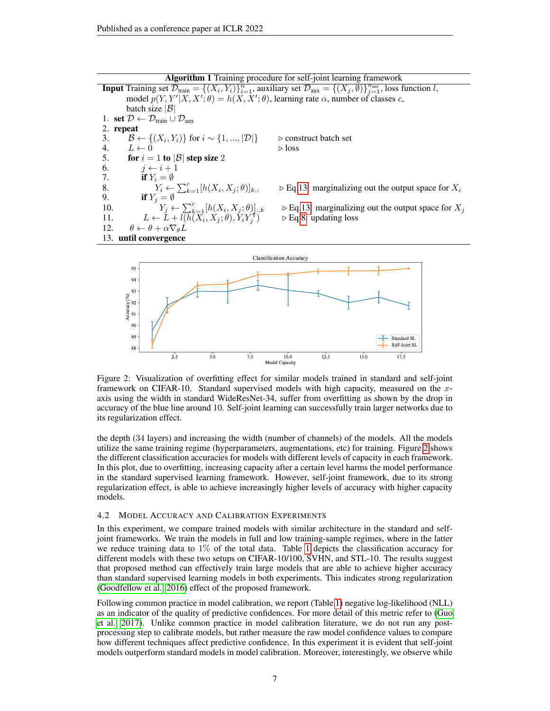**Input** Training set  $\mathcal{D}_{\text{train}} = \{(X_i, Y_i)\}_{i=1}^n$ , auxiliary set  $\mathcal{D}_{\text{aux}} = \{(X_j, \emptyset)\}_{j=1}^{n_{\text{aux}}}$ , loss function l, model  $p(Y, Y'|X, X'; \theta) = h(X, X'; \theta)$ , learning rate  $\alpha$ , number of classes c, batch size  $|\mathcal{B}|$ 1. set  $\mathcal{D} \leftarrow \mathcal{D}_{\text{train}} \cup \mathcal{D}_{\text{aux}}$ 2. repeat 3.  $B \leftarrow$ 3.  $\mathcal{B} \leftarrow \{(X_i, Y_i)\}$  for  $i \sim \{1, ..., |\mathcal{D}|\}$   $\triangleright$  construct batch set 4.  $L \leftarrow 0$   $\triangleright$  loss 5. for  $i = 1$  to  $|\mathcal{B}|$  step size 2 6.  $j \leftarrow i + 1$ 7. if  $Y_i = \emptyset$ <br>8.  $Y_i \leftarrow$ 8.  $Y_i \leftarrow \sum_{k=1}^c [h(X_i$  $\triangleright$  Eq[.13:](#page-5-1) marginalizing out the output space for  $X_i$ 9. if  $Y_j = \emptyset$ 10.  $Y_j \leftarrow \sum_{k=1}^c [h(X_i)]$  $\triangleright$  Eq[.13:](#page-5-1) marginalizing out the output space for  $X_i$ 11.  $L \leftarrow L + l(h(X_i, X_j; \theta), Y_i Y_i)$ j  $\triangleright$  Eq[.8:](#page-4-4) updating loss 12.  $\theta \leftarrow \theta + \alpha \nabla_{\theta} L$ 13. until convergence

Algorithm 1 Training procedure for self-joint learning framework

<span id="page-6-0"></span>

Figure 2: Visualization of overfitting effect for similar models trained in standard and self-joint framework on CIFAR-10. Standard supervised models with high capacity, measured on the xaxis using the width in standard WideResNet-34, suffer from overfitting as shown by the drop in accuracy of the blue line around 10. Self-joint learning can successfully train larger networks due to its regularization effect.

the depth (34 layers) and increasing the width (number of channels) of the models. All the models utilize the same training regime (hyperparameters, augmentations, etc) for training. Figure [2](#page-6-0) shows the different classification accuracies for models with different levels of capacity in each framework. In this plot, due to overfitting, increasing capacity after a certain level harms the model performance in the standard supervised learning framework. However, self-joint framework, due to its strong regularization effect, is able to achieve increasingly higher levels of accuracy with higher capacity models.

### 4.2 MODEL ACCURACY AND CALIBRATION EXPERIMENTS

In this experiment, we compare trained models with similar architecture in the standard and selfjoint frameworks. We train the models in full and low training-sample regimes, where in the latter we reduce training data to 1% of the total data. Table [1](#page-7-0) depicts the classification accuracy for different models with these two setups on CIFAR-10/100, SVHN, and STL-10. The results suggest that proposed method can effectively train large models that are able to achieve higher accuracy than standard supervised learning models in both experiments. This indicates strong regularization [\(Goodfellow et al., 2016\)](#page-9-15) effect of the proposed framework.

Following common practice in model calibration, we report (Table [1\)](#page-7-0) negative log-likelihood (NLL) as an indicator of the quality of predictive confidences. For more detail of this metric refer to [\(Guo](#page-10-1) [et al., 2017\)](#page-10-1). Unlike common practice in model calibration literature, we do not run any postprocessing step to calibrate models, but rather measure the raw model confidence values to compare how different techniques affect predictive confidence. In this experiment it is evident that self-joint models outperform standard models in model calibration. Moreover, interestingly, we observe while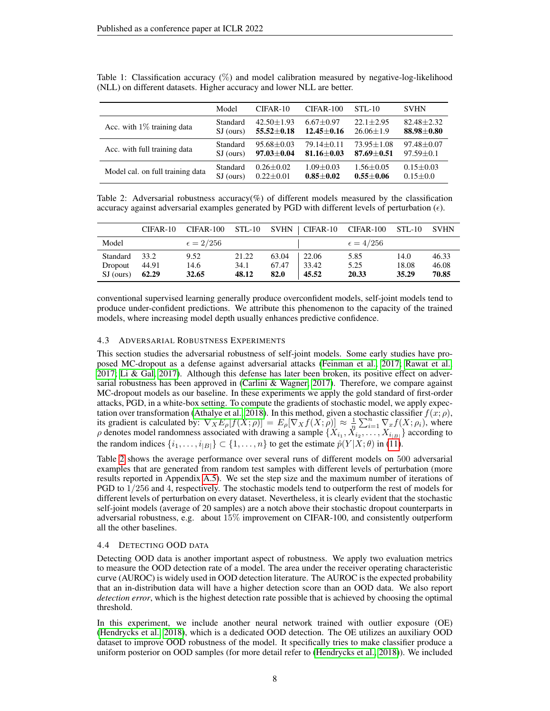|                                  | Model     | $CIFAR-10$       | $CIFAR-100$      | $STL-10$       | <b>SVHN</b>      |
|----------------------------------|-----------|------------------|------------------|----------------|------------------|
| Acc. with $1\%$ training data    | Standard  | $42.50 + 1.93$   | $6.67 + 0.97$    | $22.1 + 2.95$  | $82.48 + 2.32$   |
|                                  | SJ (ours) | $55.52 \pm 0.18$ | $12.45 \pm 0.16$ | $26.06 + 1.9$  | $88.98 \pm 0.80$ |
| Acc. with full training data     | Standard  | $95.68 + 0.03$   | $79.14 + 0.11$   | $73.95 + 1.08$ | $97.48 \pm 0.07$ |
|                                  | SJ (ours) | $97.03 \pm 0.04$ | $81.16 + 0.03$   | $87.69 + 0.51$ | $97.59 \pm 0.1$  |
| Model cal. on full training data | Standard  | $0.26 + 0.02$    | $1.09 + 0.03$    | $1.56 + 0.05$  | $0.15 + 0.03$    |
|                                  | SJ (ours) | $0.22 \pm 0.01$  | $0.85 + 0.02$    | $0.55 + 0.06$  | $0.15 + 0.0$     |

<span id="page-7-0"></span>Table 1: Classification accuracy (%) and model calibration measured by negative-log-likelihood (NLL) on different datasets. Higher accuracy and lower NLL are better.

<span id="page-7-1"></span>Table 2: Adversarial robustness accuracy( $\%$ ) of different models measured by the classification accuracy against adversarial examples generated by PGD with different levels of perturbation  $(\epsilon)$ .

|                     | $CIFAR-10$    | CIFAR-100          | $STL-10$      |                |                | SVHN   CIFAR-10 CIFAR-100 | $STL-10$      | <b>SVHN</b>             |
|---------------------|---------------|--------------------|---------------|----------------|----------------|---------------------------|---------------|-------------------------|
| Model               |               | $\epsilon = 2/256$ |               |                |                | $\epsilon = 4/256$        |               |                         |
| Standard<br>Dropout | 33.2<br>44.91 | 9.52<br>14.6       | 21.22<br>34.1 | 63.04<br>67.47 | 22.06<br>33.42 | 5.85<br>5.25              | 14.0<br>18.08 | 46.33<br>46.08<br>70.85 |
| SJ (ours)           | 62.29         | 32.65              | 48.12         | 82.0           | 45.52          | 20.33                     | 35.29         |                         |

conventional supervised learning generally produce overconfident models, self-joint models tend to produce under-confident predictions. We attribute this phenomenon to the capacity of the trained models, where increasing model depth usually enhances predictive confidence.

# 4.3 ADVERSARIAL ROBUSTNESS EXPERIMENTS

This section studies the adversarial robustness of self-joint models. Some early studies have proposed MC-dropout as a defense against adversarial attacks [\(Feinman et al., 2017;](#page-9-8) [Rawat et al.,](#page-11-12) [2017;](#page-11-12) [Li & Gal, 2017\)](#page-11-7). Although this defense has later been broken, its positive effect on adver-sarial robustness has been approved in [\(Carlini & Wagner, 2017\)](#page-9-16). Therefore, we compare against MC-dropout models as our baseline. In these experiments we apply the gold standard of first-order attacks, PGD, in a white-box setting. To compute the gradients of stochastic model, we apply expec-tation over transformation [\(Athalye et al., 2018\)](#page-9-17). In this method, given a stochastic classifier  $f(x; \rho)$ , its gradient is calculated by:  $\nabla_X E_\rho[f(X; \rho)] = E_\rho[\nabla_X f(X; \rho)] \approx \frac{1}{n} \sum_{i=1}^n \nabla_x f(X; \rho_i)$ , where  $\rho$  denotes model randomness associated with drawing a sample  $\{X_{i_1}, \dot{X}_{i_2}, \dots, X_{i_{|B|}}\}$  according to the random indices  $\{i_1, \ldots, i_{|B|}\} \subset \{1, \ldots, n\}$  to get the estimate  $\hat{p}(Y|X; \theta)$  in [\(11\)](#page-4-5).

Table [2](#page-7-1) shows the average performance over several runs of different models on 500 adversarial examples that are generated from random test samples with different levels of perturbation (more results reported in Appendix [A.5\)](#page-13-1). We set the step size and the maximum number of iterations of PGD to 1/256 and 4, respectively. The stochastic models tend to outperform the rest of models for different levels of perturbation on every dataset. Nevertheless, it is clearly evident that the stochastic self-joint models (average of 20 samples) are a notch above their stochastic dropout counterparts in adversarial robustness, e.g. about 15% improvement on CIFAR-100, and consistently outperform all the other baselines.

### 4.4 DETECTING OOD DATA

Detecting OOD data is another important aspect of robustness. We apply two evaluation metrics to measure the OOD detection rate of a model. The area under the receiver operating characteristic curve (AUROC) is widely used in OOD detection literature. The AUROC is the expected probability that an in-distribution data will have a higher detection score than an OOD data. We also report *detection error*, which is the highest detection rate possible that is achieved by choosing the optimal threshold.

In this experiment, we include another neural network trained with outlier exposure (OE) [\(Hendrycks et al., 2018\)](#page-10-2), which is a dedicated OOD detection. The OE utilizes an auxiliary OOD dataset to improve OOD robustness of the model. It specifically tries to make classifier produce a uniform posterior on OOD samples (for more detail refer to [\(Hendrycks et al., 2018\)](#page-10-2)). We included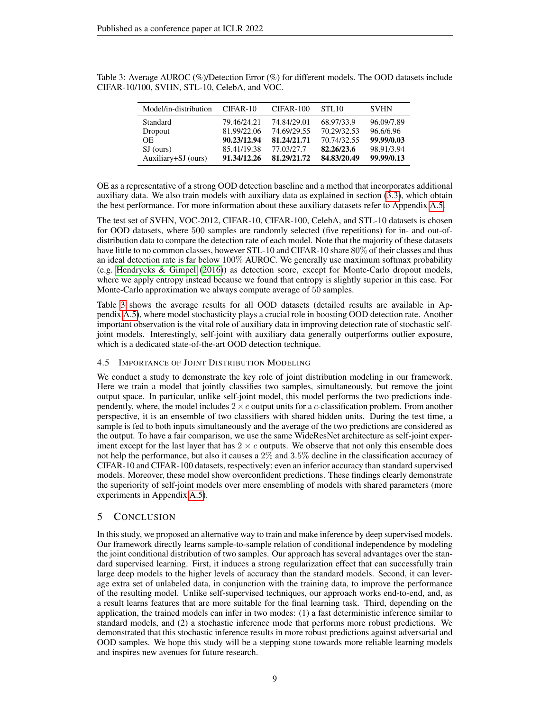| Model/in-distribution | $CIFAR-10$  | CIFAR-100   | <b>STL10</b> | <b>SVHN</b> |
|-----------------------|-------------|-------------|--------------|-------------|
| Standard              | 79.46/24.21 | 74.84/29.01 | 68.97/33.9   | 96.09/7.89  |
| Dropout               | 81.99/22.06 | 74.69/29.55 | 70.29/32.53  | 96.6/6.96   |
| OE.                   | 90.23/12.94 | 81.24/21.71 | 70.74/32.55  | 99.99/0.03  |
| SJ (ours)             | 85.41/19.38 | 77.03/27.7  | 82.26/23.6   | 98.91/3.94  |
| Auxiliary+SJ (ours)   | 91.34/12.26 | 81.29/21.72 | 84.83/20.49  | 99.99/0.13  |

<span id="page-8-0"></span>Table 3: Average AUROC (%)/Detection Error (%) for different models. The OOD datasets include CIFAR-10/100, SVHN, STL-10, CelebA, and VOC.

OE as a representative of a strong OOD detection baseline and a method that incorporates additional auxiliary data. We also train models with auxiliary data as explained in section [\(3.3\)](#page-5-2), which obtain the best performance. For more information about these auxiliary datasets refer to Appendix [A.5.](#page-13-1)

The test set of SVHN, VOC-2012, CIFAR-10, CIFAR-100, CelebA, and STL-10 datasets is chosen for OOD datasets, where 500 samples are randomly selected (five repetitions) for in- and out-ofdistribution data to compare the detection rate of each model. Note that the majority of these datasets have little to no common classes, however STL-10 and CIFAR-10 share 80% of their classes and thus an ideal detection rate is far below 100% AUROC. We generally use maximum softmax probability (e.g. [Hendrycks & Gimpel](#page-10-17) [\(2016\)](#page-10-17)) as detection score, except for Monte-Carlo dropout models, where we apply entropy instead because we found that entropy is slightly superior in this case. For Monte-Carlo approximation we always compute average of 50 samples.

Table [3](#page-8-0) shows the average results for all OOD datasets (detailed results are available in Appendix [A.5\)](#page-13-1), where model stochasticity plays a crucial role in boosting OOD detection rate. Another important observation is the vital role of auxiliary data in improving detection rate of stochastic selfjoint models. Interestingly, self-joint with auxiliary data generally outperforms outlier exposure, which is a dedicated state-of-the-art OOD detection technique.

# 4.5 IMPORTANCE OF JOINT DISTRIBUTION MODELING

We conduct a study to demonstrate the key role of joint distribution modeling in our framework. Here we train a model that jointly classifies two samples, simultaneously, but remove the joint output space. In particular, unlike self-joint model, this model performs the two predictions independently, where, the model includes  $2 \times c$  output units for a c-classification problem. From another perspective, it is an ensemble of two classifiers with shared hidden units. During the test time, a sample is fed to both inputs simultaneously and the average of the two predictions are considered as the output. To have a fair comparison, we use the same WideResNet architecture as self-joint experiment except for the last layer that has  $2 \times c$  outputs. We observe that not only this ensemble does not help the performance, but also it causes a 2% and 3.5% decline in the classification accuracy of CIFAR-10 and CIFAR-100 datasets, respectively; even an inferior accuracy than standard supervised models. Moreover, these model show overconfident predictions. These findings clearly demonstrate the superiority of self-joint models over mere ensembling of models with shared parameters (more experiments in Appendix [A.5\)](#page-13-1).

# 5 CONCLUSION

In this study, we proposed an alternative way to train and make inference by deep supervised models. Our framework directly learns sample-to-sample relation of conditional independence by modeling the joint conditional distribution of two samples. Our approach has several advantages over the standard supervised learning. First, it induces a strong regularization effect that can successfully train large deep models to the higher levels of accuracy than the standard models. Second, it can leverage extra set of unlabeled data, in conjunction with the training data, to improve the performance of the resulting model. Unlike self-supervised techniques, our approach works end-to-end, and, as a result learns features that are more suitable for the final learning task. Third, depending on the application, the trained models can infer in two modes: (1) a fast deterministic inference similar to standard models, and (2) a stochastic inference mode that performs more robust predictions. We demonstrated that this stochastic inference results in more robust predictions against adversarial and OOD samples. We hope this study will be a stepping stone towards more reliable learning models and inspires new avenues for future research.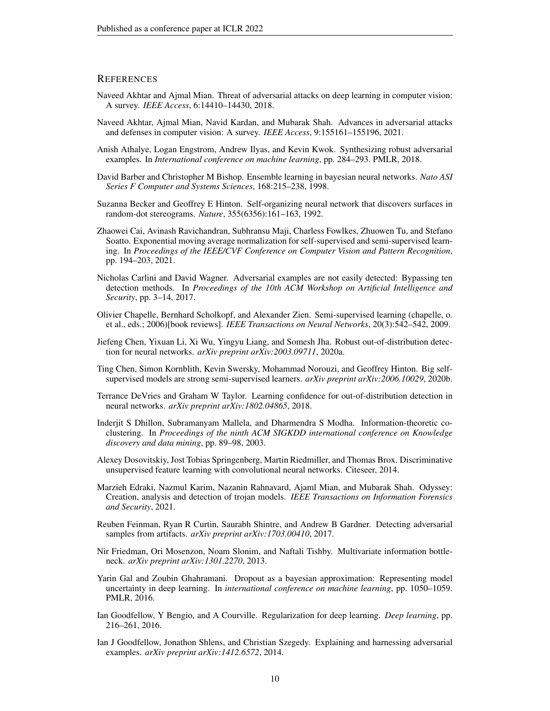### **REFERENCES**

- <span id="page-9-1"></span>Naveed Akhtar and Ajmal Mian. Threat of adversarial attacks on deep learning in computer vision: A survey. *IEEE Access*, 6:14410–14430, 2018.
- <span id="page-9-2"></span>Naveed Akhtar, Ajmal Mian, Navid Kardan, and Mubarak Shah. Advances in adversarial attacks and defenses in computer vision: A survey. *IEEE Access*, 9:155161–155196, 2021.
- <span id="page-9-17"></span>Anish Athalye, Logan Engstrom, Andrew Ilyas, and Kevin Kwok. Synthesizing robust adversarial examples. In *International conference on machine learning*, pp. 284–293. PMLR, 2018.
- <span id="page-9-7"></span>David Barber and Christopher M Bishop. Ensemble learning in bayesian neural networks. *Nato ASI Series F Computer and Systems Sciences*, 168:215–238, 1998.
- <span id="page-9-9"></span>Suzanna Becker and Geoffrey E Hinton. Self-organizing neural network that discovers surfaces in random-dot stereograms. *Nature*, 355(6356):161–163, 1992.
- <span id="page-9-18"></span>Zhaowei Cai, Avinash Ravichandran, Subhransu Maji, Charless Fowlkes, Zhuowen Tu, and Stefano Soatto. Exponential moving average normalization for self-supervised and semi-supervised learning. In *Proceedings of the IEEE/CVF Conference on Computer Vision and Pattern Recognition*, pp. 194–203, 2021.
- <span id="page-9-16"></span>Nicholas Carlini and David Wagner. Adversarial examples are not easily detected: Bypassing ten detection methods. In *Proceedings of the 10th ACM Workshop on Artificial Intelligence and Security*, pp. 3–14, 2017.
- <span id="page-9-13"></span>Olivier Chapelle, Bernhard Scholkopf, and Alexander Zien. Semi-supervised learning (chapelle, o. et al., eds.; 2006)[book reviews]. *IEEE Transactions on Neural Networks*, 20(3):542–542, 2009.
- <span id="page-9-6"></span>Jiefeng Chen, Yixuan Li, Xi Wu, Yingyu Liang, and Somesh Jha. Robust out-of-distribution detection for neural networks. *arXiv preprint arXiv:2003.09711*, 2020a.
- <span id="page-9-12"></span>Ting Chen, Simon Kornblith, Kevin Swersky, Mohammad Norouzi, and Geoffrey Hinton. Big selfsupervised models are strong semi-supervised learners. *arXiv preprint arXiv:2006.10029*, 2020b.
- <span id="page-9-5"></span>Terrance DeVries and Graham W Taylor. Learning confidence for out-of-distribution detection in neural networks. *arXiv preprint arXiv:1802.04865*, 2018.
- <span id="page-9-10"></span>Inderjit S Dhillon, Subramanyam Mallela, and Dharmendra S Modha. Information-theoretic coclustering. In *Proceedings of the ninth ACM SIGKDD international conference on Knowledge discovery and data mining*, pp. 89–98, 2003.
- <span id="page-9-14"></span>Alexey Dosovitskiy, Jost Tobias Springenberg, Martin Riedmiller, and Thomas Brox. Discriminative unsupervised feature learning with convolutional neural networks. Citeseer, 2014.
- <span id="page-9-3"></span>Marzieh Edraki, Nazmul Karim, Nazanin Rahnavard, Ajaml Mian, and Mubarak Shah. Odyssey: Creation, analysis and detection of trojan models. *IEEE Transactions on Information Forensics and Security*, 2021.
- <span id="page-9-8"></span>Reuben Feinman, Ryan R Curtin, Saurabh Shintre, and Andrew B Gardner. Detecting adversarial samples from artifacts. *arXiv preprint arXiv:1703.00410*, 2017.
- <span id="page-9-11"></span>Nir Friedman, Ori Mosenzon, Noam Slonim, and Naftali Tishby. Multivariate information bottleneck. *arXiv preprint arXiv:1301.2270*, 2013.
- <span id="page-9-4"></span>Yarin Gal and Zoubin Ghahramani. Dropout as a bayesian approximation: Representing model uncertainty in deep learning. In *international conference on machine learning*, pp. 1050–1059. PMLR, 2016.
- <span id="page-9-15"></span>Ian Goodfellow, Y Bengio, and A Courville. Regularization for deep learning. *Deep learning*, pp. 216–261, 2016.
- <span id="page-9-0"></span>Ian J Goodfellow, Jonathon Shlens, and Christian Szegedy. Explaining and harnessing adversarial examples. *arXiv preprint arXiv:1412.6572*, 2014.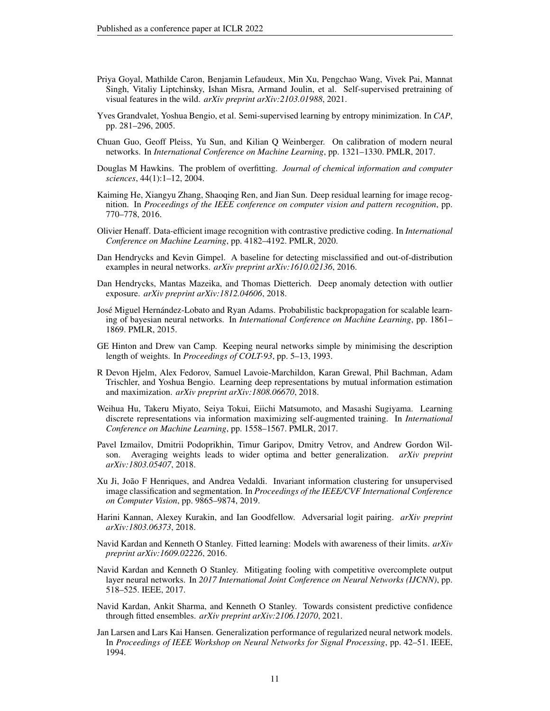- <span id="page-10-14"></span>Priya Goyal, Mathilde Caron, Benjamin Lefaudeux, Min Xu, Pengchao Wang, Vivek Pai, Mannat Singh, Vitaliy Liptchinsky, Ishan Misra, Armand Joulin, et al. Self-supervised pretraining of visual features in the wild. *arXiv preprint arXiv:2103.01988*, 2021.
- <span id="page-10-15"></span>Yves Grandvalet, Yoshua Bengio, et al. Semi-supervised learning by entropy minimization. In *CAP*, pp. 281–296, 2005.
- <span id="page-10-1"></span>Chuan Guo, Geoff Pleiss, Yu Sun, and Kilian Q Weinberger. On calibration of modern neural networks. In *International Conference on Machine Learning*, pp. 1321–1330. PMLR, 2017.
- <span id="page-10-0"></span>Douglas M Hawkins. The problem of overfitting. *Journal of chemical information and computer sciences*, 44(1):1–12, 2004.
- <span id="page-10-16"></span>Kaiming He, Xiangyu Zhang, Shaoqing Ren, and Jian Sun. Deep residual learning for image recognition. In *Proceedings of the IEEE conference on computer vision and pattern recognition*, pp. 770–778, 2016.
- <span id="page-10-13"></span>Olivier Henaff. Data-efficient image recognition with contrastive predictive coding. In *International Conference on Machine Learning*, pp. 4182–4192. PMLR, 2020.
- <span id="page-10-17"></span>Dan Hendrycks and Kevin Gimpel. A baseline for detecting misclassified and out-of-distribution examples in neural networks. *arXiv preprint arXiv:1610.02136*, 2016.
- <span id="page-10-2"></span>Dan Hendrycks, Mantas Mazeika, and Thomas Dietterich. Deep anomaly detection with outlier exposure. *arXiv preprint arXiv:1812.04606*, 2018.
- <span id="page-10-9"></span>José Miguel Hernández-Lobato and Ryan Adams. Probabilistic backpropagation for scalable learning of bayesian neural networks. In *International Conference on Machine Learning*, pp. 1861– 1869. PMLR, 2015.
- <span id="page-10-8"></span>GE Hinton and Drew van Camp. Keeping neural networks simple by minimising the description length of weights. In *Proceedings of COLT-93*, pp. 5–13, 1993.
- <span id="page-10-11"></span>R Devon Hjelm, Alex Fedorov, Samuel Lavoie-Marchildon, Karan Grewal, Phil Bachman, Adam Trischler, and Yoshua Bengio. Learning deep representations by mutual information estimation and maximization. *arXiv preprint arXiv:1808.06670*, 2018.
- <span id="page-10-10"></span>Weihua Hu, Takeru Miyato, Seiya Tokui, Eiichi Matsumoto, and Masashi Sugiyama. Learning discrete representations via information maximizing self-augmented training. In *International Conference on Machine Learning*, pp. 1558–1567. PMLR, 2017.
- <span id="page-10-18"></span>Pavel Izmailov, Dmitrii Podoprikhin, Timur Garipov, Dmitry Vetrov, and Andrew Gordon Wilson. Averaging weights leads to wider optima and better generalization. *arXiv preprint arXiv:1803.05407*, 2018.
- <span id="page-10-12"></span>Xu Ji, Joao F Henriques, and Andrea Vedaldi. Invariant information clustering for unsupervised ˜ image classification and segmentation. In *Proceedings of the IEEE/CVF International Conference on Computer Vision*, pp. 9865–9874, 2019.
- <span id="page-10-7"></span>Harini Kannan, Alexey Kurakin, and Ian Goodfellow. Adversarial logit pairing. *arXiv preprint arXiv:1803.06373*, 2018.
- <span id="page-10-4"></span>Navid Kardan and Kenneth O Stanley. Fitted learning: Models with awareness of their limits. *arXiv preprint arXiv:1609.02226*, 2016.
- <span id="page-10-5"></span>Navid Kardan and Kenneth O Stanley. Mitigating fooling with competitive overcomplete output layer neural networks. In *2017 International Joint Conference on Neural Networks (IJCNN)*, pp. 518–525. IEEE, 2017.
- <span id="page-10-6"></span>Navid Kardan, Ankit Sharma, and Kenneth O Stanley. Towards consistent predictive confidence through fitted ensembles. *arXiv preprint arXiv:2106.12070*, 2021.
- <span id="page-10-3"></span>Jan Larsen and Lars Kai Hansen. Generalization performance of regularized neural network models. In *Proceedings of IEEE Workshop on Neural Networks for Signal Processing*, pp. 42–51. IEEE, 1994.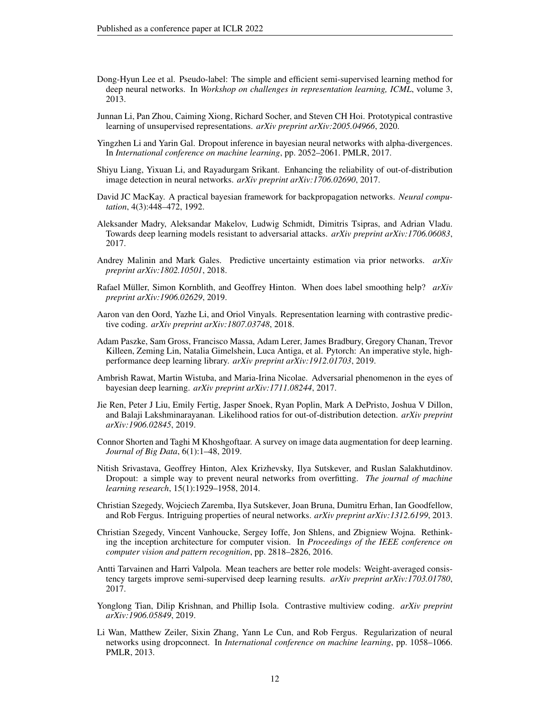- <span id="page-11-15"></span>Dong-Hyun Lee et al. Pseudo-label: The simple and efficient semi-supervised learning method for deep neural networks. In *Workshop on challenges in representation learning, ICML*, volume 3, 2013.
- <span id="page-11-14"></span>Junnan Li, Pan Zhou, Caiming Xiong, Richard Socher, and Steven CH Hoi. Prototypical contrastive learning of unsupervised representations. *arXiv preprint arXiv:2005.04966*, 2020.
- <span id="page-11-7"></span>Yingzhen Li and Yarin Gal. Dropout inference in bayesian neural networks with alpha-divergences. In *International conference on machine learning*, pp. 2052–2061. PMLR, 2017.
- <span id="page-11-2"></span>Shiyu Liang, Yixuan Li, and Rayadurgam Srikant. Enhancing the reliability of out-of-distribution image detection in neural networks. *arXiv preprint arXiv:1706.02690*, 2017.
- <span id="page-11-10"></span>David JC MacKay. A practical bayesian framework for backpropagation networks. *Neural computation*, 4(3):448–472, 1992.
- <span id="page-11-1"></span>Aleksander Madry, Aleksandar Makelov, Ludwig Schmidt, Dimitris Tsipras, and Adrian Vladu. Towards deep learning models resistant to adversarial attacks. *arXiv preprint arXiv:1706.06083*, 2017.
- <span id="page-11-9"></span>Andrey Malinin and Mark Gales. Predictive uncertainty estimation via prior networks. *arXiv preprint arXiv:1802.10501*, 2018.
- <span id="page-11-6"></span>Rafael Müller, Simon Kornblith, and Geoffrey Hinton. When does label smoothing help? arXiv *preprint arXiv:1906.02629*, 2019.
- <span id="page-11-16"></span>Aaron van den Oord, Yazhe Li, and Oriol Vinyals. Representation learning with contrastive predictive coding. *arXiv preprint arXiv:1807.03748*, 2018.
- <span id="page-11-17"></span>Adam Paszke, Sam Gross, Francisco Massa, Adam Lerer, James Bradbury, Gregory Chanan, Trevor Killeen, Zeming Lin, Natalia Gimelshein, Luca Antiga, et al. Pytorch: An imperative style, highperformance deep learning library. *arXiv preprint arXiv:1912.01703*, 2019.
- <span id="page-11-12"></span>Ambrish Rawat, Martin Wistuba, and Maria-Irina Nicolae. Adversarial phenomenon in the eyes of bayesian deep learning. *arXiv preprint arXiv:1711.08244*, 2017.
- <span id="page-11-8"></span>Jie Ren, Peter J Liu, Emily Fertig, Jasper Snoek, Ryan Poplin, Mark A DePristo, Joshua V Dillon, and Balaji Lakshminarayanan. Likelihood ratios for out-of-distribution detection. *arXiv preprint arXiv:1906.02845*, 2019.
- <span id="page-11-3"></span>Connor Shorten and Taghi M Khoshgoftaar. A survey on image data augmentation for deep learning. *Journal of Big Data*, 6(1):1–48, 2019.
- <span id="page-11-11"></span>Nitish Srivastava, Geoffrey Hinton, Alex Krizhevsky, Ilya Sutskever, and Ruslan Salakhutdinov. Dropout: a simple way to prevent neural networks from overfitting. *The journal of machine learning research*, 15(1):1929–1958, 2014.
- <span id="page-11-0"></span>Christian Szegedy, Wojciech Zaremba, Ilya Sutskever, Joan Bruna, Dumitru Erhan, Ian Goodfellow, and Rob Fergus. Intriguing properties of neural networks. *arXiv preprint arXiv:1312.6199*, 2013.
- <span id="page-11-5"></span>Christian Szegedy, Vincent Vanhoucke, Sergey Ioffe, Jon Shlens, and Zbigniew Wojna. Rethinking the inception architecture for computer vision. In *Proceedings of the IEEE conference on computer vision and pattern recognition*, pp. 2818–2826, 2016.
- <span id="page-11-18"></span>Antti Tarvainen and Harri Valpola. Mean teachers are better role models: Weight-averaged consistency targets improve semi-supervised deep learning results. *arXiv preprint arXiv:1703.01780*, 2017.
- <span id="page-11-13"></span>Yonglong Tian, Dilip Krishnan, and Phillip Isola. Contrastive multiview coding. *arXiv preprint arXiv:1906.05849*, 2019.
- <span id="page-11-4"></span>Li Wan, Matthew Zeiler, Sixin Zhang, Yann Le Cun, and Rob Fergus. Regularization of neural networks using dropconnect. In *International conference on machine learning*, pp. 1058–1066. PMLR, 2013.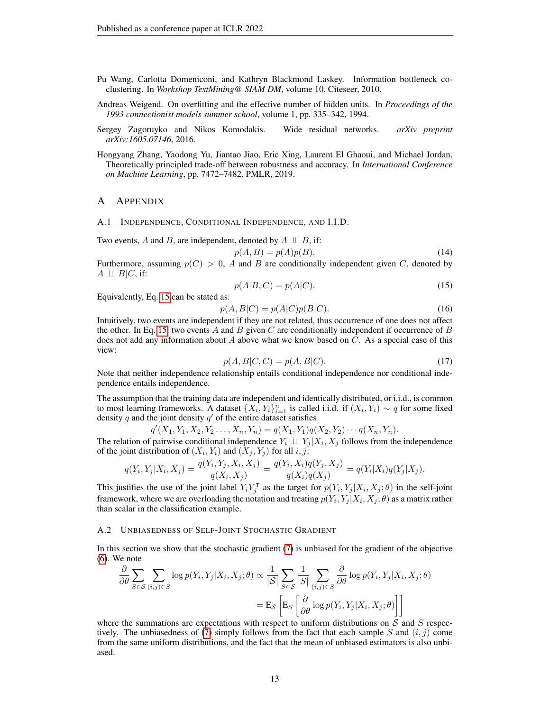- <span id="page-12-3"></span>Pu Wang, Carlotta Domeniconi, and Kathryn Blackmond Laskey. Information bottleneck coclustering. In *Workshop TextMining@ SIAM DM*, volume 10. Citeseer, 2010.
- <span id="page-12-0"></span>Andreas Weigend. On overfitting and the effective number of hidden units. In *Proceedings of the 1993 connectionist models summer school*, volume 1, pp. 335–342, 1994.
- <span id="page-12-5"></span>Sergey Zagoruyko and Nikos Komodakis. Wide residual networks. *arXiv preprint arXiv:1605.07146*, 2016.
- <span id="page-12-2"></span>Hongyang Zhang, Yaodong Yu, Jiantao Jiao, Eric Xing, Laurent El Ghaoui, and Michael Jordan. Theoretically principled trade-off between robustness and accuracy. In *International Conference on Machine Learning*, pp. 7472–7482. PMLR, 2019.

## A APPENDIX

<span id="page-12-1"></span>A.1 INDEPENDENCE, CONDITIONAL INDEPENDENCE, AND I.I.D.

Two events, A and B, are independent, denoted by  $A \perp \!\!\!\perp B$ , if:

$$
p(A,B) = p(A)p(B). \tag{14}
$$

Furthermore, assuming  $p(C) > 0$ , A and B are conditionally independent given C, denoted by  $A \perp\!\!\!\perp B|C$ , if:

<span id="page-12-6"></span>
$$
p(A|B,C) = p(A|C). \tag{15}
$$

Equivalently, Eq. [15](#page-12-6) can be stated as:

$$
p(A, B|C) = p(A|C)p(B|C).
$$
\n<sup>(16)</sup>

Intuitively, two events are independent if they are not related, thus occurrence of one does not affect the other. In Eq. [15,](#page-12-6) two events A and B given C are conditionally independent if occurrence of B does not add any information about A above what we know based on  $C$ . As a special case of this view:

$$
p(A, B|C, C) = p(A, B|C).
$$
\n(17)

Note that neither independence relationship entails conditional independence nor conditional independence entails independence.

The assumption that the training data are independent and identically distributed, or i.i.d., is common to most learning frameworks. A dataset  $\{X_i, Y_i\}_{i=1}^n$  is called i.i.d. if  $(X_i, Y_i) \sim q$  for some fixed density  $q$  and the joint density  $q'$  of the entire dataset satisfies

$$
q'(X_1, Y_1, X_2, Y_2, \dots, X_n, Y_n) = q(X_1, Y_1)q(X_2, Y_2) \cdots q(X_n, Y_n).
$$

The relation of pairwise conditional independence  $Y_i \perp \!\!\! \perp Y_j | X_i, X_j$  follows from the independence of the joint distribution of  $(X_i, Y_i)$  and  $(X_j, Y_j)$  for all  $i, j$ :

$$
q(Y_i, Y_j | X_i, X_j) = \frac{q(Y_i, Y_j, X_i, X_j)}{q(X_i, X_j)} = \frac{q(Y_i, X_i)q(Y_j, X_j)}{q(X_i)q(X_j)} = q(Y_i | X_i)q(Y_j | X_j).
$$

This justifies the use of the joint label  $Y_i Y_j^{\mathsf{T}}$  $\sum_{j=1}^{T}$  as the target for  $p(Y_i, Y_j | X_i, X_j; \theta)$  in the self-joint framework, where we are overloading the notation and treating  $p(Y_i, Y_j | X_i, X_j; \theta)$  as a matrix rather than scalar in the classification example.

### <span id="page-12-4"></span>A.2 UNBIASEDNESS OF SELF-JOINT STOCHASTIC GRADIENT

In this section we show that the stochastic gradient [\(7\)](#page-4-3) is unbiased for the gradient of the objective [\(6\)](#page-4-2). We note

$$
\frac{\partial}{\partial \theta} \sum_{S \in \mathcal{S}} \sum_{(i,j) \in S} \log p(Y_i, Y_j | X_i, X_j; \theta) \propto \frac{1}{|\mathcal{S}|} \sum_{S \in \mathcal{S}} \frac{1}{|S|} \sum_{(i,j) \in S} \frac{\partial}{\partial \theta} \log p(Y_i, Y_j | X_i, X_j; \theta)
$$

$$
= \mathbb{E}_{\mathcal{S}} \left[ \mathbb{E}_{S} \left[ \frac{\partial}{\partial \theta} \log p(Y_i, Y_j | X_i, X_j; \theta) \right] \right]
$$

where the summations are expectations with respect to uniform distributions on  $S$  and  $S$  respec-tively. The unbiasedness of [\(7\)](#page-4-3) simply follows from the fact that each sample S and  $(i, j)$  come from the same uniform distributions, and the fact that the mean of unbiased estimators is also unbiased.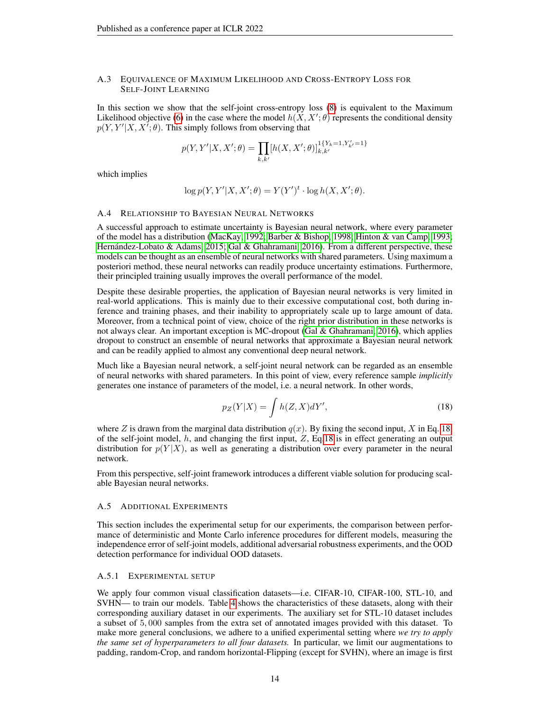### <span id="page-13-0"></span>A.3 EQUIVALENCE OF MAXIMUM LIKELIHOOD AND CROSS-ENTROPY LOSS FOR SELF-JOINT LEARNING

In this section we show that the self-joint cross-entropy loss [\(8\)](#page-4-4) is equivalent to the Maximum Likelihood objective [\(6\)](#page-4-2) in the case where the model  $h(X, X'; \theta)$  represents the conditional density  $p(Y, Y'|X, X^{\dagger}; \theta)$ . This simply follows from observing that

$$
p(Y,Y'|X,X';\theta) = \prod_{k,k'} [h(X,X';\theta)]_{k,k'}^{1\{Y_k=1,Y'_{k'}=1\}}
$$

which implies

$$
\log p(Y, Y'|X, X'; \theta) = Y(Y')^{t} \cdot \log h(X, X'; \theta).
$$

### A.4 RELATIONSHIP TO BAYESIAN NEURAL NETWORKS

A successful approach to estimate uncertainty is Bayesian neural network, where every parameter of the model has a distribution [\(MacKay, 1992;](#page-11-10) [Barber & Bishop, 1998;](#page-9-7) [Hinton & van Camp, 1993;](#page-10-8) Hernández-Lobato & Adams, 2015; [Gal & Ghahramani, 2016\)](#page-9-4). From a different perspective, these models can be thought as an ensemble of neural networks with shared parameters. Using maximum a posteriori method, these neural networks can readily produce uncertainty estimations. Furthermore, their principled training usually improves the overall performance of the model.

Despite these desirable properties, the application of Bayesian neural networks is very limited in real-world applications. This is mainly due to their excessive computational cost, both during inference and training phases, and their inability to appropriately scale up to large amount of data. Moreover, from a technical point of view, choice of the right prior distribution in these networks is not always clear. An important exception is MC-dropout [\(Gal & Ghahramani, 2016\)](#page-9-4), which applies dropout to construct an ensemble of neural networks that approximate a Bayesian neural network and can be readily applied to almost any conventional deep neural network.

Much like a Bayesian neural network, a self-joint neural network can be regarded as an ensemble of neural networks with shared parameters. In this point of view, every reference sample *implicitly* generates one instance of parameters of the model, i.e. a neural network. In other words,

<span id="page-13-2"></span>
$$
p_Z(Y|X) = \int h(Z, X)dY',\tag{18}
$$

where Z is drawn from the marginal data distribution  $q(x)$ . By fixing the second input, X in Eq. [18,](#page-13-2) of the self-joint model,  $h$ , and changing the first input,  $Z$ , Eq[.18](#page-13-2) is in effect generating an output distribution for  $p(Y|X)$ , as well as generating a distribution over every parameter in the neural network.

From this perspective, self-joint framework introduces a different viable solution for producing scalable Bayesian neural networks.

#### <span id="page-13-1"></span>A.5 ADDITIONAL EXPERIMENTS

This section includes the experimental setup for our experiments, the comparison between performance of deterministic and Monte Carlo inference procedures for different models, measuring the independence error of self-joint models, additional adversarial robustness experiments, and the OOD detection performance for individual OOD datasets.

### A.5.1 EXPERIMENTAL SETUP

We apply four common visual classification datasets—i.e. CIFAR-10, CIFAR-100, STL-10, and SVHN— to train our models. Table [4](#page-14-0) shows the characteristics of these datasets, along with their corresponding auxiliary dataset in our experiments. The auxiliary set for STL-10 dataset includes a subset of 5, 000 samples from the extra set of annotated images provided with this dataset. To make more general conclusions, we adhere to a unified experimental setting where *we try to apply the same set of hyperparameters to all four datasets.* In particular, we limit our augmentations to padding, random-Crop, and random horizontal-Flipping (except for SVHN), where an image is first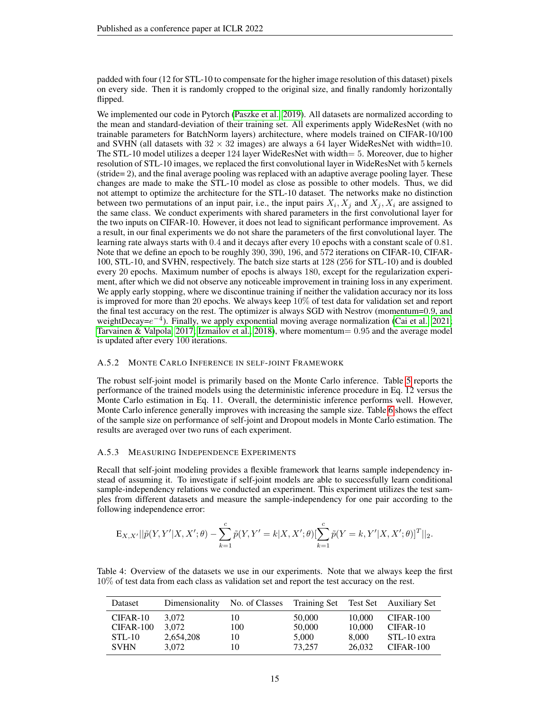padded with four (12 for STL-10 to compensate for the higher image resolution of this dataset) pixels on every side. Then it is randomly cropped to the original size, and finally randomly horizontally flipped.

We implemented our code in Pytorch [\(Paszke et al., 2019\)](#page-11-17). All datasets are normalized according to the mean and standard-deviation of their training set. All experiments apply WideResNet (with no trainable parameters for BatchNorm layers) architecture, where models trained on CIFAR-10/100 and SVHN (all datasets with  $32 \times 32$  images) are always a 64 layer WideResNet with width=10. The STL-10 model utilizes a deeper 124 layer WideResNet with width= 5. Moreover, due to higher resolution of STL-10 images, we replaced the first convolutional layer in WideResNet with 5 kernels (stride= 2), and the final average pooling was replaced with an adaptive average pooling layer. These changes are made to make the STL-10 model as close as possible to other models. Thus, we did not attempt to optimize the architecture for the STL-10 dataset. The networks make no distinction between two permutations of an input pair, i.e., the input pairs  $X_i, X_j$  and  $X_j, X_i$  are assigned to the same class. We conduct experiments with shared parameters in the first convolutional layer for the two inputs on CIFAR-10. However, it does not lead to significant performance improvement. As a result, in our final experiments we do not share the parameters of the first convolutional layer. The learning rate always starts with 0.4 and it decays after every 10 epochs with a constant scale of 0.81. Note that we define an epoch to be roughly 390, 390, 196, and 572 iterations on CIFAR-10, CIFAR-100, STL-10, and SVHN, respectively. The batch size starts at 128 (256 for STL-10) and is doubled every 20 epochs. Maximum number of epochs is always 180, except for the regularization experiment, after which we did not observe any noticeable improvement in training loss in any experiment. We apply early stopping, where we discontinue training if neither the validation accuracy nor its loss is improved for more than 20 epochs. We always keep  $10\%$  of test data for validation set and report the final test accuracy on the rest. The optimizer is always SGD with Nestrov (momentum=0.9, and weightDecay= $e^{-4}$ ). Finally, we apply exponential moving average normalization [\(Cai et al., 2021;](#page-9-18) [Tarvainen & Valpola, 2017;](#page-11-18) [Izmailov et al., 2018\)](#page-10-18), where momentum= 0.95 and the average model is updated after every 100 iterations.

### A.5.2 MONTE CARLO INFERENCE IN SELF-JOINT FRAMEWORK

The robust self-joint model is primarily based on the Monte Carlo inference. Table [5](#page-15-0) reports the performance of the trained models using the deterministic inference procedure in Eq. 12 versus the Monte Carlo estimation in Eq. 11. Overall, the deterministic inference performs well. However, Monte Carlo inference generally improves with increasing the sample size. Table [6](#page-15-1) shows the effect of the sample size on performance of self-joint and Dropout models in Monte Carlo estimation. The results are averaged over two runs of each experiment.

# A.5.3 MEASURING INDEPENDENCE EXPERIMENTS

Recall that self-joint modeling provides a flexible framework that learns sample independency instead of assuming it. To investigate if self-joint models are able to successfully learn conditional sample-independency relations we conducted an experiment. This experiment utilizes the test samples from different datasets and measure the sample-independency for one pair according to the following independence error:

$$
\mathbf{E}_{X,X'}||\tilde{p}(Y,Y'|X,X';\theta) - \sum_{k=1}^{c} \tilde{p}(Y,Y'=k|X,X';\theta) [\sum_{k=1}^{c} \tilde{p}(Y=k,Y'|X,X';\theta)]^{T}||_{2}.
$$

<span id="page-14-0"></span>

| Table 4: Overview of the datasets we use in our experiments. Note that we always keep the first |  |  |  |
|-------------------------------------------------------------------------------------------------|--|--|--|
| 10% of test data from each class as validation set and report the test accuracy on the rest.    |  |  |  |

| Dataset     | Dimensionality | No. of Classes |        |        | Training Set Test Set Auxiliary Set |
|-------------|----------------|----------------|--------|--------|-------------------------------------|
| $CIFAR-10$  | 3.072          | 10             | 50,000 | 10.000 | CIFAR-100                           |
| CIFAR-100   | 3.072          | 100            | 50,000 | 10,000 | $CIFAR-10$                          |
| $STL-10$    | 2,654,208      | 10             | 5,000  | 8,000  | STL-10 extra                        |
| <b>SVHN</b> | 3.072          | 10             | 73.257 | 26,032 | CIFAR-100                           |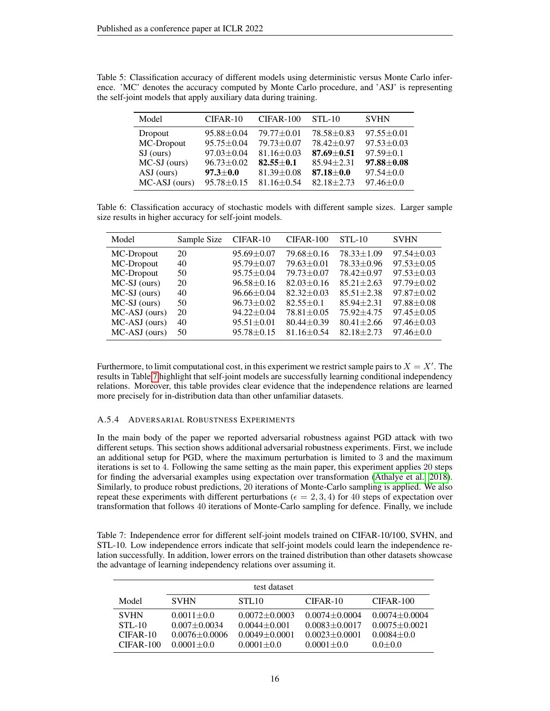<span id="page-15-0"></span>

| Table 5: Classification accuracy of different models using deterministic versus Monte Carlo infer- |  |
|----------------------------------------------------------------------------------------------------|--|
| ence. 'MC' denotes the accuracy computed by Monte Carlo procedure, and 'ASJ' is representing       |  |
| the self-joint models that apply auxiliary data during training.                                   |  |

| Model           | CIFAR-10         | $CIFAR-100$      | $STL-10$         | <b>SVHN</b>      |
|-----------------|------------------|------------------|------------------|------------------|
| Dropout         | $95.88 \pm 0.04$ | $79.77 + 0.01$   | $78.58 \pm 0.83$ | $97.55 \pm 0.01$ |
| MC-Dropout      | $95.75 \pm 0.04$ | $79.73 \pm 0.07$ | $78.42 \pm 0.97$ | $97.53 \pm 0.03$ |
| $SJ$ (ours)     | $97.03 \pm 0.04$ | $81.16 \pm 0.03$ | $87.69 + 0.51$   | $97.59 \pm 0.1$  |
| $MC-SJ$ (ours)  | $96.73 \pm 0.02$ | $82.55 \pm 0.1$  | $85.94 \pm 2.31$ | $97.88 \pm 0.08$ |
| ASJ (ours)      | $97.3 \pm 0.0$   | $81.39 \pm 0.08$ | $87.18 \pm 0.0$  | $97.54 \pm 0.0$  |
| $MC-ASI$ (ours) | $95.78 \pm 0.15$ | $81.16 \pm 0.54$ | $82.18 + 2.73$   | $97.46 \pm 0.0$  |

<span id="page-15-1"></span>Table 6: Classification accuracy of stochastic models with different sample sizes. Larger sample size results in higher accuracy for self-joint models.

| Model           | Sample Size | $CIFAR-10$       | CIFAR-100        | $STL-10$         | <b>SVHN</b>      |
|-----------------|-------------|------------------|------------------|------------------|------------------|
| MC-Dropout      | 20          | $95.69 \pm 0.07$ | $79.68 + 0.16$   | $78.33 \pm 1.09$ | $97.54 \pm 0.03$ |
| MC-Dropout      | 40          | $95.79 \pm 0.07$ | $79.63 \pm 0.01$ | $78.33 \pm 0.96$ | $97.53 \pm 0.05$ |
| MC-Dropout      | 50          | $95.75 \pm 0.04$ | $79.73 + 0.07$   | $78.42 \pm 0.97$ | $97.53 \pm 0.03$ |
| $MC-SJ$ (ours)  | 20          | $96.58 \pm 0.16$ | $82.03 \pm 0.16$ | $85.21 \pm 2.63$ | $97.79 \pm 0.02$ |
| $MC-SJ$ (ours)  | 40          | $96.66 \pm 0.04$ | $82.32 \pm 0.03$ | $85.51 \pm 2.38$ | $97.87 + 0.02$   |
| $MC-SJ$ (ours)  | 50          | $96.73 \pm 0.02$ | $82.55 + 0.1$    | $85.94 + 2.31$   | $97.88 \pm 0.08$ |
| $MC-ASI$ (ours) | 20          | $94.22 \pm 0.04$ | $78.81 \pm 0.05$ | $75.92 + 4.75$   | $97.45 \pm 0.05$ |
| $MC-ASI$ (ours) | 40          | $95.51 \pm 0.01$ | $80.44 + 0.39$   | $80.41 + 2.66$   | $97.46 \pm 0.03$ |
| MC-ASJ (ours)   | 50          | $95.78 \pm 0.15$ | $81.16 \pm 0.54$ | $82.18 + 2.73$   | $97.46 \pm 0.0$  |

Furthermore, to limit computational cost, in this experiment we restrict sample pairs to  $X = X'$ . The results in Table [7](#page-15-2) highlight that self-joint models are successfully learning conditional independency relations. Moreover, this table provides clear evidence that the independence relations are learned more precisely for in-distribution data than other unfamiliar datasets.

### A.5.4 ADVERSARIAL ROBUSTNESS EXPERIMENTS

In the main body of the paper we reported adversarial robustness against PGD attack with two different setups. This section shows additional adversarial robustness experiments. First, we include an additional setup for PGD, where the maximum perturbation is limited to 3 and the maximum iterations is set to 4. Following the same setting as the main paper, this experiment applies 20 steps for finding the adversarial examples using expectation over transformation [\(Athalye et al., 2018\)](#page-9-17). Similarly, to produce robust predictions, 20 iterations of Monte-Carlo sampling is applied. We also repeat these experiments with different perturbations ( $\epsilon = 2, 3, 4$ ) for 40 steps of expectation over transformation that follows 40 iterations of Monte-Carlo sampling for defence. Finally, we include

<span id="page-15-2"></span>Table 7: Independence error for different self-joint models trained on CIFAR-10/100, SVHN, and STL-10. Low independence errors indicate that self-joint models could learn the independence relation successfully. In addition, lower errors on the trained distribution than other datasets showcase the advantage of learning independency relations over assuming it.

| test dataset                                         |                                                                             |                                                                                |                                                                                 |                                                                           |  |  |  |
|------------------------------------------------------|-----------------------------------------------------------------------------|--------------------------------------------------------------------------------|---------------------------------------------------------------------------------|---------------------------------------------------------------------------|--|--|--|
| Model                                                | <b>SVHN</b>                                                                 | STL <sub>10</sub>                                                              | $CIFAR-10$                                                                      | $CIFAR-100$                                                               |  |  |  |
| <b>SVHN</b><br>$STL-10$<br>$CIFAR-10$<br>$CIFAR-100$ | $0.0011 \pm 0.0$<br>$0.007 + 0.0034$<br>$0.0076 + 0.0006$<br>$0.0001 + 0.0$ | $0.0072 + 0.0003$<br>$0.0044 + 0.001$<br>$0.0049 + 0.0001$<br>$0.0001 \pm 0.0$ | $0.0074 + 0.0004$<br>$0.0083 + 0.0017$<br>$0.0023 + 0.0001$<br>$0.0001 \pm 0.0$ | $0.0074 + 0.0004$<br>$0.0075 + 0.0021$<br>$0.0084 \pm 0.0$<br>$0.0 + 0.0$ |  |  |  |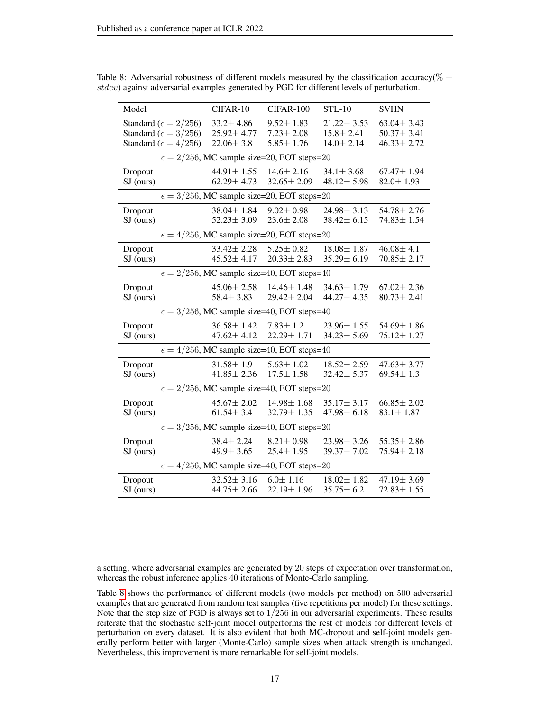| Model                                                | CIFAR-10         | CIFAR-100                                            | <b>STL-10</b>    | <b>SVHN</b>      |  |  |
|------------------------------------------------------|------------------|------------------------------------------------------|------------------|------------------|--|--|
| Standard ( $\epsilon = 2/256$ )                      | $33.2 \pm 4.86$  | $9.52 \pm 1.83$                                      | $21.22 \pm 3.53$ | $63.04 \pm 3.43$ |  |  |
| Standard ( $\epsilon = 3/256$ )                      | $25.92 \pm 4.77$ | $7.23 \pm 2.08$                                      | $15.8 \pm 2.41$  | $50.37 \pm 3.41$ |  |  |
| Standard ( $\epsilon = 4/256$ )                      | $22.06 \pm 3.8$  | $5.85 \pm 1.76$                                      | $14.0 \pm 2.14$  | $46.33 \pm 2.72$ |  |  |
|                                                      |                  | $\epsilon = 2/256$ , MC sample size=20, EOT steps=20 |                  |                  |  |  |
| Dropout                                              | $44.91 \pm 1.55$ | $14.6 \pm 2.16$                                      | $34.1 \pm 3.68$  | $67.47 \pm 1.94$ |  |  |
| SJ (ours)                                            | $62.29 \pm 4.73$ | $32.65 \pm 2.09$                                     | $48.12 \pm 5.98$ | $82.0 \pm 1.93$  |  |  |
|                                                      |                  | $\epsilon = 3/256$ , MC sample size=20, EOT steps=20 |                  |                  |  |  |
| Dropout                                              | $38.04 \pm 1.84$ | $9.02 \pm 0.98$                                      | $24.98 \pm 3.13$ | $54.78 \pm 2.76$ |  |  |
| SJ (ours)                                            | $52.23 \pm 3.09$ | $23.6 \pm 2.08$                                      | $38.42 \pm 6.15$ | $74.83 \pm 1.54$ |  |  |
|                                                      |                  | $\epsilon = 4/256$ , MC sample size=20, EOT steps=20 |                  |                  |  |  |
| Dropout                                              | $33.42 \pm 2.28$ | $5.25 \pm 0.82$                                      | $18.08 \pm 1.87$ | $46.08 \pm 4.1$  |  |  |
| SJ (ours)                                            | $45.52 \pm 4.17$ | $20.33 \pm 2.83$                                     | $35.29 \pm 6.19$ | $70.85 \pm 2.17$ |  |  |
| $\epsilon = 2/256$ , MC sample size=40, EOT steps=40 |                  |                                                      |                  |                  |  |  |
| Dropout                                              | $45.06 \pm 2.58$ | $14.46 \pm 1.48$                                     | $34.63 \pm 1.79$ | $67.02 \pm 2.36$ |  |  |
| SJ (ours)                                            | $58.4 \pm 3.83$  | $29.42 \pm 2.04$                                     | 44.27±4.35       | $80.73 \pm 2.41$ |  |  |
|                                                      |                  | $\epsilon = 3/256$ , MC sample size=40, EOT steps=40 |                  |                  |  |  |
| Dropout                                              | $36.58 \pm 1.42$ | $7.83 \pm 1.2$                                       | $23.96 \pm 1.55$ | 54.69 ± 1.86     |  |  |
| SJ (ours)                                            | $47.62 \pm 4.12$ | $22.29 \pm 1.71$                                     | $34.23 \pm 5.69$ | $75.12 \pm 1.27$ |  |  |
|                                                      |                  | $\epsilon = 4/256$ , MC sample size=40, EOT steps=40 |                  |                  |  |  |
| Dropout                                              | $31.58 \pm 1.9$  | $5.63 \pm 1.02$                                      | $18.52 \pm 2.59$ | $47.63 \pm 3.77$ |  |  |
| SJ (ours)                                            | $41.85 \pm 2.36$ | $17.5 \pm 1.58$                                      | $32.42 \pm 5.37$ | $69.54 \pm 1.3$  |  |  |
|                                                      |                  | $\epsilon = 2/256$ , MC sample size=40, EOT steps=20 |                  |                  |  |  |
| Dropout                                              | $45.67 \pm 2.02$ | $14.98 \pm 1.68$                                     | $35.17 \pm 3.17$ | $66.85 \pm 2.02$ |  |  |
| SJ (ours)                                            | $61.54 \pm 3.4$  | $32.79 \pm 1.35$                                     | $47.98 \pm 6.18$ | $83.1 \pm 1.87$  |  |  |
|                                                      |                  | $\epsilon = 3/256$ , MC sample size=40, EOT steps=20 |                  |                  |  |  |
| Dropout                                              | $38.4 \pm 2.24$  | $8.21 \pm 0.98$                                      | $23.98 \pm 3.26$ | $55.35 \pm 2.86$ |  |  |
| SJ (ours)                                            | $49.9 \pm 3.65$  | $25.4 \pm 1.95$                                      | 39.37±7.02       | $75.94 \pm 2.18$ |  |  |
|                                                      |                  | $\epsilon = 4/256$ , MC sample size=40, EOT steps=20 |                  |                  |  |  |
| Dropout                                              | $32.52 \pm 3.16$ | $6.0 \pm 1.16$                                       | $18.02 \pm 1.82$ | 47.19 ± 3.69     |  |  |
| $SI$ (ours)                                          | $44.75 \pm 2.66$ | $22.19 \pm 1.96$                                     | $35.75 \pm 6.2$  | $72.83 \pm 1.55$ |  |  |

<span id="page-16-0"></span>Table 8: Adversarial robustness of different models measured by the classification accuracy( $\% \pm$ stdev) against adversarial examples generated by PGD for different levels of perturbation.

a setting, where adversarial examples are generated by 20 steps of expectation over transformation, whereas the robust inference applies 40 iterations of Monte-Carlo sampling.

Table [8](#page-16-0) shows the performance of different models (two models per method) on 500 adversarial examples that are generated from random test samples (five repetitions per model) for these settings. Note that the step size of PGD is always set to  $1/256$  in our adversarial experiments. These results reiterate that the stochastic self-joint model outperforms the rest of models for different levels of perturbation on every dataset. It is also evident that both MC-dropout and self-joint models generally perform better with larger (Monte-Carlo) sample sizes when attack strength is unchanged. Nevertheless, this improvement is more remarkable for self-joint models.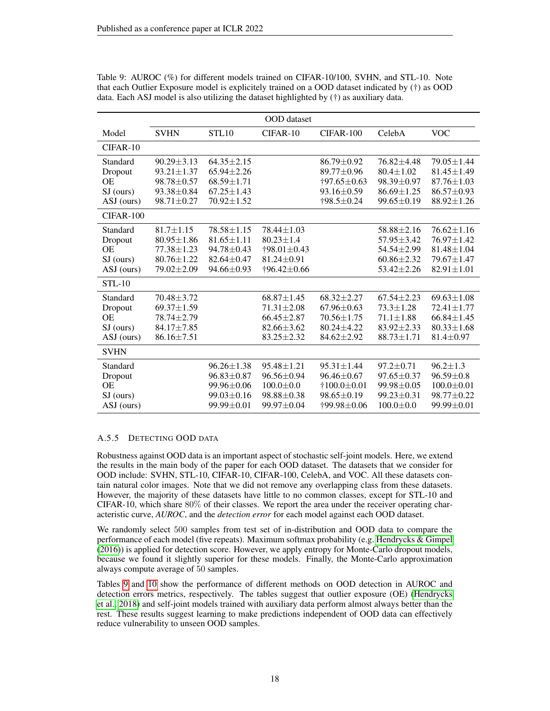|               |                  |                  | <b>OOD</b> dataset         |                           |                  |                  |
|---------------|------------------|------------------|----------------------------|---------------------------|------------------|------------------|
| Model         | <b>SVHN</b>      | STL10            | CIFAR-10                   | CIFAR-100                 | CelebA           | <b>VOC</b>       |
| $CIFAR-10$    |                  |                  |                            |                           |                  |                  |
| Standard      | $90.29 \pm 3.13$ | $64.35 + 2.15$   |                            | $86.79 \pm 0.92$          | $76.82 + 4.48$   | $79.05 \pm 1.44$ |
| Dropout       | $93.21 \pm 1.37$ | $65.94 \pm 2.26$ |                            | 89.77±0.96                | $80.4 \pm 1.02$  | $81.45 \pm 1.49$ |
| <b>OE</b>     | 98.78±0.57       | $68.59 \pm 1.71$ |                            | $+97.65 \pm 0.63$         | $98.39 \pm 0.97$ | $87.76 \pm 1.03$ |
| SJ (ours)     | $93.38 \pm 0.84$ | $67.25 \pm 1.43$ |                            | $93.16 \pm 0.59$          | $86.69 \pm 1.25$ | $86.57 \pm 0.93$ |
| ASJ (ours)    | $98.71 \pm 0.27$ | $70.92 \pm 1.52$ |                            | $\dagger$ 98.5 $\pm$ 0.24 | $99.65 \pm 0.19$ | $88.92 \pm 1.26$ |
| $CIFAR-100$   |                  |                  |                            |                           |                  |                  |
| Standard      | $81.7 \pm 1.15$  | $78.58 \pm 1.15$ | $78.44 \pm 1.03$           |                           | $58.88 \pm 2.16$ | $76.62 \pm 1.16$ |
| Dropout       | $80.95 \pm 1.86$ | $81.65 \pm 1.11$ | $80.23 \pm 1.4$            |                           | $57.95 \pm 3.42$ | $76.97 \pm 1.42$ |
| <b>OE</b>     | $77.38 \pm 1.23$ | $94.78 \pm 0.43$ | $\dagger$ 98.01 $\pm$ 0.43 |                           | 54.54±2.99       | $81.48 \pm 1.04$ |
| SJ (ours)     | $80.76 \pm 1.22$ | $82.64 \pm 0.47$ | $81.24 \pm 0.91$           |                           | $60.86 \pm 2.32$ | $79.67 \pm 1.47$ |
| ASJ (ours)    | $79.02 \pm 2.09$ | 94.66±0.93       | $+96.42 \pm 0.66$          |                           | $53.42 + 2.26$   | $82.91 \pm 1.01$ |
| <b>STL-10</b> |                  |                  |                            |                           |                  |                  |
| Standard      | 70.48±3.72       |                  | $68.87 \pm 1.45$           | $68.32 \pm 2.27$          | $67.54 \pm 2.23$ | $69.63 \pm 1.08$ |
| Dropout       | $69.37 \pm 1.59$ |                  | $71.31 \pm 2.08$           | $67.96 \pm 0.63$          | $73.3 \pm 1.28$  | $72.41 \pm 1.77$ |
| <b>OE</b>     | $78.74 \pm 2.79$ |                  | $66.45 \pm 2.87$           | $70.56 \pm 1.75$          | $71.1 \pm 1.88$  | $66.84 \pm 1.45$ |
| $SJ$ (ours)   | $84.17 \pm 7.85$ |                  | $82.66 \pm 3.62$           | $80.24 \pm 4.22$          | $83.92 \pm 2.33$ | $80.33 \pm 1.68$ |
| ASJ (ours)    | $86.16 \pm 7.51$ |                  | $83.25 \pm 2.32$           | $84.62 \pm 2.92$          | $88.73 \pm 1.71$ | $81.4 \pm 0.97$  |
| <b>SVHN</b>   |                  |                  |                            |                           |                  |                  |
| Standard      |                  | $96.26 \pm 1.38$ | $95.48 \pm 1.21$           | $95.31 \pm 1.44$          | $97.2 \pm 0.71$  | $96.2 \pm 1.3$   |
| Dropout       |                  | $96.83 \pm 0.87$ | 96.56±0.94                 | $96.46 \pm 0.67$          | $97.65 \pm 0.37$ | $96.59 \pm 0.8$  |
| <b>OE</b>     |                  | $99.96 \pm 0.06$ | $100.0 \pm 0.0$            | $+100.0 \pm 0.01$         | 99.98±0.05       | $100.0 \pm 0.01$ |
| $SI$ (ours)   |                  | $99.03 \pm 0.16$ | $98.88 \pm 0.38$           | $98.65 \pm 0.19$          | $99.23 \pm 0.31$ | $98.77 \pm 0.22$ |
| ASJ (ours)    |                  | $99.99 \pm 0.01$ | 99.97±0.04                 | †99.98±0.06               | $100.0 \pm 0.0$  | $99.99 \pm 0.01$ |

<span id="page-17-0"></span>Table 9: AUROC (%) for different models trained on CIFAR-10/100, SVHN, and STL-10. Note that each Outlier Exposure model is explicitely trained on a OOD dataset indicated by (†) as OOD data. Each ASJ model is also utilizing the dataset highlighted by (†) as auxiliary data.

# A.5.5 DETECTING OOD DATA

Robustness against OOD data is an important aspect of stochastic self-joint models. Here, we extend the results in the main body of the paper for each OOD dataset. The datasets that we consider for OOD include: SVHN, STL-10, CIFAR-10, CIFAR-100, CelebA, and VOC. All these datasets contain natural color images. Note that we did not remove any overlapping class from these datasets. However, the majority of these datasets have little to no common classes, except for STL-10 and  $CIFAR-10$ , which share  $80\%$  of their classes. We report the area under the receiver operating characteristic curve, *AUROC*, and the *detection error* for each model against each OOD dataset.

We randomly select 500 samples from test set of in-distribution and OOD data to compare the performance of each model (five repeats). Maximum softmax probability (e.g. [Hendrycks & Gimpel](#page-10-17) [\(2016\)](#page-10-17)) is applied for detection score. However, we apply entropy for Monte-Carlo dropout models, because we found it slightly superior for these models. Finally, the Monte-Carlo approximation always compute average of 50 samples.

Tables [9](#page-17-0) and [10](#page-18-0) show the performance of different methods on OOD detection in AUROC and detection errors metrics, respectively. The tables suggest that outlier exposure (OE) [\(Hendrycks](#page-10-2) [et al., 2018\)](#page-10-2) and self-joint models trained with auxiliary data perform almost always better than the rest. These results suggest learning to make predictions independent of OOD data can effectively reduce vulnerability to unseen OOD samples.